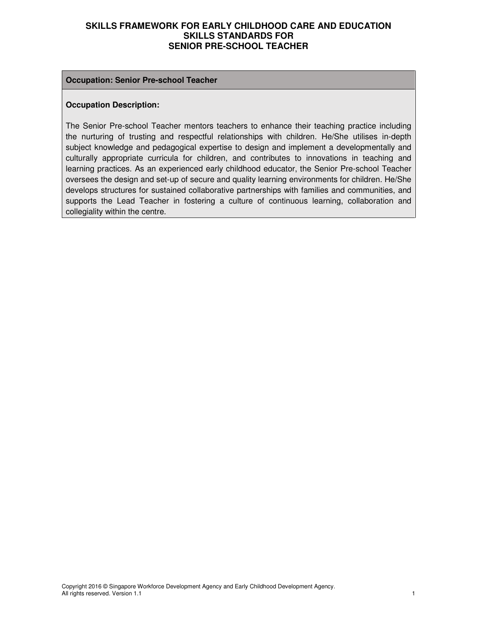#### **Occupation: Senior Pre-school Teacher**

#### **Occupation Description:**

The Senior Pre-school Teacher mentors teachers to enhance their teaching practice including the nurturing of trusting and respectful relationships with children. He/She utilises in-depth subject knowledge and pedagogical expertise to design and implement a developmentally and culturally appropriate curricula for children, and contributes to innovations in teaching and learning practices. As an experienced early childhood educator, the Senior Pre-school Teacher oversees the design and set-up of secure and quality learning environments for children. He/She develops structures for sustained collaborative partnerships with families and communities, and supports the Lead Teacher in fostering a culture of continuous learning, collaboration and collegiality within the centre.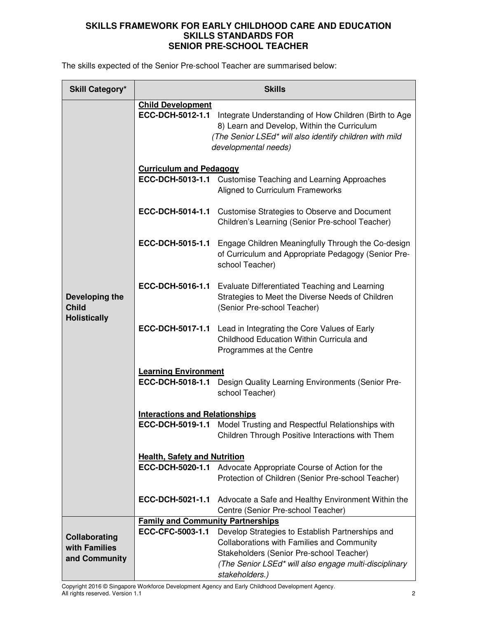The skills expected of the Senior Pre-school Teacher are summarised below:

| <b>Skill Category*</b>                                | <b>Skills</b>                            |                                                                                                                                                                                                                       |  |
|-------------------------------------------------------|------------------------------------------|-----------------------------------------------------------------------------------------------------------------------------------------------------------------------------------------------------------------------|--|
|                                                       | <b>Child Development</b>                 | ECC-DCH-5012-1.1 Integrate Understanding of How Children (Birth to Age<br>8) Learn and Develop, Within the Curriculum<br>(The Senior LSEd* will also identify children with mild<br>developmental needs)              |  |
|                                                       | <b>Curriculum and Pedagogy</b>           | <b>ECC-DCH-5013-1.1</b> Customise Teaching and Learning Approaches<br>Aligned to Curriculum Frameworks                                                                                                                |  |
|                                                       |                                          | ECC-DCH-5014-1.1 Customise Strategies to Observe and Document<br>Children's Learning (Senior Pre-school Teacher)                                                                                                      |  |
| Developing the<br><b>Child</b><br><b>Holistically</b> | ECC-DCH-5015-1.1                         | Engage Children Meaningfully Through the Co-design<br>of Curriculum and Appropriate Pedagogy (Senior Pre-<br>school Teacher)                                                                                          |  |
|                                                       |                                          | ECC-DCH-5016-1.1 Evaluate Differentiated Teaching and Learning<br>Strategies to Meet the Diverse Needs of Children<br>(Senior Pre-school Teacher)                                                                     |  |
|                                                       | ECC-DCH-5017-1.1                         | Lead in Integrating the Core Values of Early<br>Childhood Education Within Curricula and<br>Programmes at the Centre                                                                                                  |  |
|                                                       | <b>Learning Environment</b>              |                                                                                                                                                                                                                       |  |
|                                                       | ECC-DCH-5018-1.1                         | Design Quality Learning Environments (Senior Pre-<br>school Teacher)                                                                                                                                                  |  |
|                                                       | <b>Interactions and Relationships</b>    |                                                                                                                                                                                                                       |  |
|                                                       |                                          | <b>ECC-DCH-5019-1.1</b> Model Trusting and Respectful Relationships with<br>Children Through Positive Interactions with Them                                                                                          |  |
|                                                       | <b>Health, Safety and Nutrition</b>      |                                                                                                                                                                                                                       |  |
|                                                       | ECC-DCH-5020-1.1                         | Advocate Appropriate Course of Action for the<br>Protection of Children (Senior Pre-school Teacher)                                                                                                                   |  |
|                                                       | ECC-DCH-5021-1.1                         | Advocate a Safe and Healthy Environment Within the<br>Centre (Senior Pre-school Teacher)                                                                                                                              |  |
|                                                       | <b>Family and Community Partnerships</b> |                                                                                                                                                                                                                       |  |
| Collaborating<br>with Families<br>and Community       | ECC-CFC-5003-1.1                         | Develop Strategies to Establish Partnerships and<br>Collaborations with Families and Community<br>Stakeholders (Senior Pre-school Teacher)<br>(The Senior LSEd* will also engage multi-disciplinary<br>stakeholders.) |  |

Copyright 2016 © Singapore Workforce Development Agency and Early Childhood Development Agency. All rights reserved. Version 1.1 2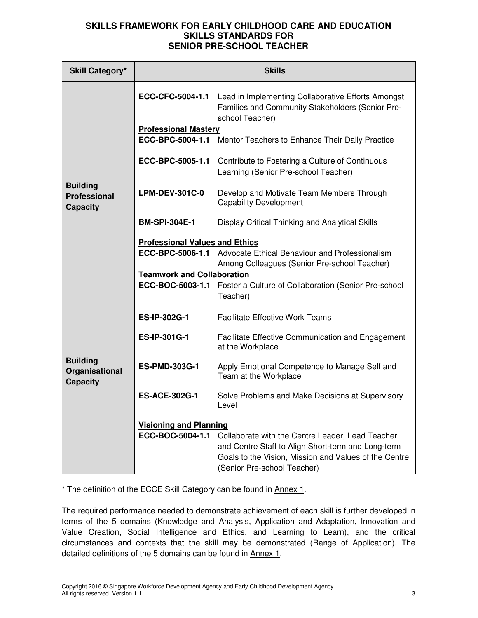| <b>Skill Category*</b>                                    | <b>Skills</b>                         |                                                                                                                                                                                                |  |
|-----------------------------------------------------------|---------------------------------------|------------------------------------------------------------------------------------------------------------------------------------------------------------------------------------------------|--|
|                                                           | ECC-CFC-5004-1.1                      | Lead in Implementing Collaborative Efforts Amongst<br>Families and Community Stakeholders (Senior Pre-<br>school Teacher)                                                                      |  |
|                                                           | <b>Professional Mastery</b>           |                                                                                                                                                                                                |  |
|                                                           |                                       | <b>ECC-BPC-5004-1.1</b> Mentor Teachers to Enhance Their Daily Practice                                                                                                                        |  |
| <b>Building</b><br><b>Professional</b><br><b>Capacity</b> | ECC-BPC-5005-1.1                      | Contribute to Fostering a Culture of Continuous<br>Learning (Senior Pre-school Teacher)                                                                                                        |  |
|                                                           | <b>LPM-DEV-301C-0</b>                 | Develop and Motivate Team Members Through<br><b>Capability Development</b>                                                                                                                     |  |
|                                                           | <b>BM-SPI-304E-1</b>                  | Display Critical Thinking and Analytical Skills                                                                                                                                                |  |
|                                                           | <b>Professional Values and Ethics</b> |                                                                                                                                                                                                |  |
|                                                           | ECC-BPC-5006-1.1                      | Advocate Ethical Behaviour and Professionalism<br>Among Colleagues (Senior Pre-school Teacher)                                                                                                 |  |
|                                                           | <b>Teamwork and Collaboration</b>     |                                                                                                                                                                                                |  |
|                                                           |                                       | ECC-BOC-5003-1.1 Foster a Culture of Collaboration (Senior Pre-school<br>Teacher)                                                                                                              |  |
|                                                           | ES-IP-302G-1                          | <b>Facilitate Effective Work Teams</b>                                                                                                                                                         |  |
|                                                           | <b>ES-IP-301G-1</b>                   | <b>Facilitate Effective Communication and Engagement</b><br>at the Workplace                                                                                                                   |  |
| <b>Building</b><br>Organisational<br><b>Capacity</b>      | <b>ES-PMD-303G-1</b>                  | Apply Emotional Competence to Manage Self and<br>Team at the Workplace                                                                                                                         |  |
|                                                           | <b>ES-ACE-302G-1</b>                  | Solve Problems and Make Decisions at Supervisory<br>Level                                                                                                                                      |  |
|                                                           | <b>Visioning and Planning</b>         |                                                                                                                                                                                                |  |
|                                                           | ECC-BOC-5004-1.1                      | Collaborate with the Centre Leader, Lead Teacher<br>and Centre Staff to Align Short-term and Long-term<br>Goals to the Vision, Mission and Values of the Centre<br>(Senior Pre-school Teacher) |  |

\* The definition of the ECCE Skill Category can be found in Annex 1.

The required performance needed to demonstrate achievement of each skill is further developed in terms of the 5 domains (Knowledge and Analysis, Application and Adaptation, Innovation and Value Creation, Social Intelligence and Ethics, and Learning to Learn), and the critical circumstances and contexts that the skill may be demonstrated (Range of Application). The detailed definitions of the 5 domains can be found in Annex 1.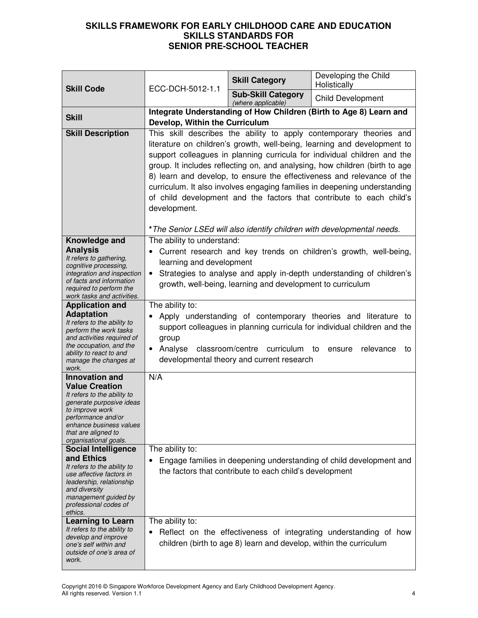| <b>Skill Code</b>                                                                                                                                                                                                                                           | ECC-DCH-5012-1.1                                                                                                                                                                                                                                                                                                                                                                                                                                                                                                                                                                                                                     | <b>Skill Category</b>                                                       | Developing the Child<br>Holistically                                                                                                                                    |
|-------------------------------------------------------------------------------------------------------------------------------------------------------------------------------------------------------------------------------------------------------------|--------------------------------------------------------------------------------------------------------------------------------------------------------------------------------------------------------------------------------------------------------------------------------------------------------------------------------------------------------------------------------------------------------------------------------------------------------------------------------------------------------------------------------------------------------------------------------------------------------------------------------------|-----------------------------------------------------------------------------|-------------------------------------------------------------------------------------------------------------------------------------------------------------------------|
|                                                                                                                                                                                                                                                             |                                                                                                                                                                                                                                                                                                                                                                                                                                                                                                                                                                                                                                      | <b>Sub-Skill Category</b><br>(where applicable)                             | <b>Child Development</b>                                                                                                                                                |
| <b>Skill</b>                                                                                                                                                                                                                                                | Develop, Within the Curriculum                                                                                                                                                                                                                                                                                                                                                                                                                                                                                                                                                                                                       |                                                                             | Integrate Understanding of How Children (Birth to Age 8) Learn and                                                                                                      |
| <b>Skill Description</b>                                                                                                                                                                                                                                    | This skill describes the ability to apply contemporary theories and<br>literature on children's growth, well-being, learning and development to<br>support colleagues in planning curricula for individual children and the<br>group. It includes reflecting on, and analysing, how children (birth to age<br>8) learn and develop, to ensure the effectiveness and relevance of the<br>curriculum. It also involves engaging families in deepening understanding<br>of child development and the factors that contribute to each child's<br>development.<br>* The Senior LSEd will also identify children with developmental needs. |                                                                             |                                                                                                                                                                         |
| Knowledge and<br><b>Analysis</b><br>It refers to gathering,<br>cognitive processing,<br>integration and inspection<br>of facts and information<br>required to perform the<br>work tasks and activities.<br><b>Application and</b>                           | The ability to understand:<br>learning and development<br>$\bullet$<br>The ability to:                                                                                                                                                                                                                                                                                                                                                                                                                                                                                                                                               | growth, well-being, learning and development to curriculum                  | Current research and key trends on children's growth, well-being,<br>Strategies to analyse and apply in-depth understanding of children's                               |
| <b>Adaptation</b><br>It refers to the ability to<br>perform the work tasks<br>and activities required of<br>the occupation, and the<br>ability to react to and<br>manage the changes at<br>work.                                                            | group<br>Analyse<br>$\bullet$                                                                                                                                                                                                                                                                                                                                                                                                                                                                                                                                                                                                        | classroom/centre curriculum to<br>developmental theory and current research | Apply understanding of contemporary theories and literature to<br>support colleagues in planning curricula for individual children and the<br>relevance<br>ensure<br>to |
| <b>Innovation and</b><br><b>Value Creation</b><br>It refers to the ability to<br>generate purposive ideas<br>to improve work<br>performance and/or<br>enhance business values<br>that are aligned to<br>organisational goals.<br><b>Social Intelligence</b> | N/A<br>The ability to:                                                                                                                                                                                                                                                                                                                                                                                                                                                                                                                                                                                                               |                                                                             |                                                                                                                                                                         |
| and Ethics<br>It refers to the ability to<br>use affective factors in<br>leadership, relationship<br>and diversity<br>management guided by<br>professional codes of<br>ethics.                                                                              | $\bullet$                                                                                                                                                                                                                                                                                                                                                                                                                                                                                                                                                                                                                            | the factors that contribute to each child's development                     | Engage families in deepening understanding of child development and                                                                                                     |
| <b>Learning to Learn</b><br>It refers to the ability to<br>develop and improve<br>one's self within and<br>outside of one's area of<br>work.                                                                                                                | The ability to:<br>$\bullet$                                                                                                                                                                                                                                                                                                                                                                                                                                                                                                                                                                                                         | children (birth to age 8) learn and develop, within the curriculum          | Reflect on the effectiveness of integrating understanding of how                                                                                                        |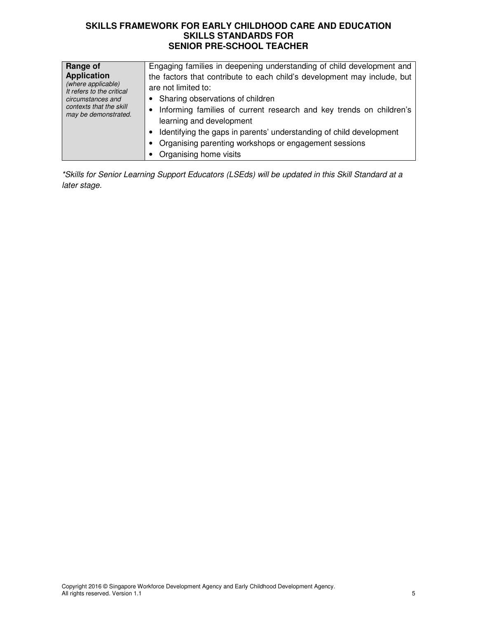| <b>Range of</b><br><b>Application</b><br>(where applicable)<br>It refers to the critical<br>circumstances and<br>contexts that the skill<br>may be demonstrated. | Engaging families in deepening understanding of child development and<br>the factors that contribute to each child's development may include, but<br>are not limited to:<br>• Sharing observations of children<br>• Informing families of current research and key trends on children's<br>learning and development |
|------------------------------------------------------------------------------------------------------------------------------------------------------------------|---------------------------------------------------------------------------------------------------------------------------------------------------------------------------------------------------------------------------------------------------------------------------------------------------------------------|
|                                                                                                                                                                  | Identifying the gaps in parents' understanding of child development<br>• Organising parenting workshops or engagement sessions                                                                                                                                                                                      |
|                                                                                                                                                                  | Organising home visits                                                                                                                                                                                                                                                                                              |

\*Skills for Senior Learning Support Educators (LSEds) will be updated in this Skill Standard at a later stage.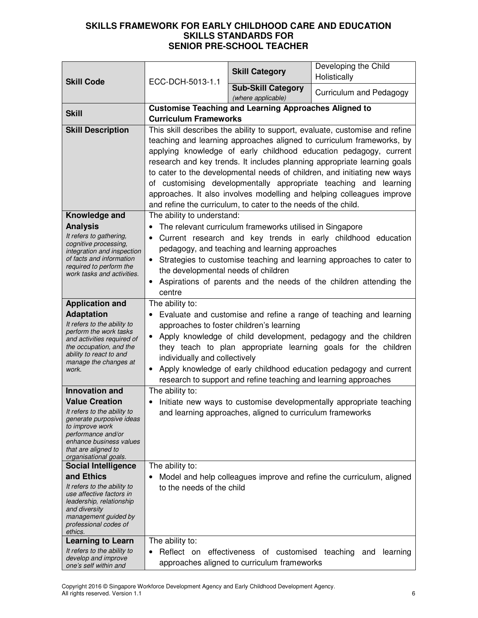| <b>Skill Code</b>                                                                                                                                                           | ECC-DCH-5013-1.1                                                                                                                                                                                                                                                                                                                                                                                                                                                                                                                                                                                 | <b>Skill Category</b>                                           | Developing the Child<br>Holistically                                 |
|-----------------------------------------------------------------------------------------------------------------------------------------------------------------------------|--------------------------------------------------------------------------------------------------------------------------------------------------------------------------------------------------------------------------------------------------------------------------------------------------------------------------------------------------------------------------------------------------------------------------------------------------------------------------------------------------------------------------------------------------------------------------------------------------|-----------------------------------------------------------------|----------------------------------------------------------------------|
|                                                                                                                                                                             |                                                                                                                                                                                                                                                                                                                                                                                                                                                                                                                                                                                                  | <b>Sub-Skill Category</b><br>(where applicable)                 | Curriculum and Pedagogy                                              |
| <b>Skill</b>                                                                                                                                                                | <b>Customise Teaching and Learning Approaches Aligned to</b>                                                                                                                                                                                                                                                                                                                                                                                                                                                                                                                                     |                                                                 |                                                                      |
|                                                                                                                                                                             | <b>Curriculum Frameworks</b>                                                                                                                                                                                                                                                                                                                                                                                                                                                                                                                                                                     |                                                                 |                                                                      |
| <b>Skill Description</b>                                                                                                                                                    | This skill describes the ability to support, evaluate, customise and refine<br>teaching and learning approaches aligned to curriculum frameworks, by<br>applying knowledge of early childhood education pedagogy, current<br>research and key trends. It includes planning appropriate learning goals<br>to cater to the developmental needs of children, and initiating new ways<br>of customising developmentally appropriate teaching and learning<br>approaches. It also involves modelling and helping colleagues improve<br>and refine the curriculum, to cater to the needs of the child. |                                                                 |                                                                      |
| Knowledge and                                                                                                                                                               | The ability to understand:                                                                                                                                                                                                                                                                                                                                                                                                                                                                                                                                                                       |                                                                 |                                                                      |
| <b>Analysis</b>                                                                                                                                                             | $\bullet$                                                                                                                                                                                                                                                                                                                                                                                                                                                                                                                                                                                        | The relevant curriculum frameworks utilised in Singapore        |                                                                      |
| It refers to gathering,<br>cognitive processing,<br>integration and inspection                                                                                              | $\bullet$                                                                                                                                                                                                                                                                                                                                                                                                                                                                                                                                                                                        | pedagogy, and teaching and learning approaches                  | Current research and key trends in early childhood education         |
| of facts and information<br>required to perform the                                                                                                                         | $\bullet$                                                                                                                                                                                                                                                                                                                                                                                                                                                                                                                                                                                        |                                                                 | Strategies to customise teaching and learning approaches to cater to |
| work tasks and activities.                                                                                                                                                  | the developmental needs of children                                                                                                                                                                                                                                                                                                                                                                                                                                                                                                                                                              |                                                                 |                                                                      |
|                                                                                                                                                                             | $\bullet$<br>centre                                                                                                                                                                                                                                                                                                                                                                                                                                                                                                                                                                              |                                                                 | Aspirations of parents and the needs of the children attending the   |
| <b>Application and</b>                                                                                                                                                      | The ability to:                                                                                                                                                                                                                                                                                                                                                                                                                                                                                                                                                                                  |                                                                 |                                                                      |
| <b>Adaptation</b>                                                                                                                                                           |                                                                                                                                                                                                                                                                                                                                                                                                                                                                                                                                                                                                  |                                                                 |                                                                      |
| It refers to the ability to                                                                                                                                                 | Evaluate and customise and refine a range of teaching and learning<br>approaches to foster children's learning                                                                                                                                                                                                                                                                                                                                                                                                                                                                                   |                                                                 |                                                                      |
| perform the work tasks<br>and activities required of                                                                                                                        | Apply knowledge of child development, pedagogy and the children<br>$\bullet$                                                                                                                                                                                                                                                                                                                                                                                                                                                                                                                     |                                                                 |                                                                      |
| the occupation, and the                                                                                                                                                     | they teach to plan appropriate learning goals for the children                                                                                                                                                                                                                                                                                                                                                                                                                                                                                                                                   |                                                                 |                                                                      |
| ability to react to and<br>manage the changes at                                                                                                                            | individually and collectively                                                                                                                                                                                                                                                                                                                                                                                                                                                                                                                                                                    |                                                                 |                                                                      |
| work.                                                                                                                                                                       | Apply knowledge of early childhood education pedagogy and current<br>$\bullet$                                                                                                                                                                                                                                                                                                                                                                                                                                                                                                                   |                                                                 |                                                                      |
|                                                                                                                                                                             |                                                                                                                                                                                                                                                                                                                                                                                                                                                                                                                                                                                                  | research to support and refine teaching and learning approaches |                                                                      |
| <b>Innovation and</b>                                                                                                                                                       | The ability to:                                                                                                                                                                                                                                                                                                                                                                                                                                                                                                                                                                                  |                                                                 |                                                                      |
| <b>Value Creation</b>                                                                                                                                                       | $\bullet$                                                                                                                                                                                                                                                                                                                                                                                                                                                                                                                                                                                        |                                                                 | Initiate new ways to customise developmentally appropriate teaching  |
| It refers to the ability to<br>generate purposive ideas<br>to improve work<br>performance and/or<br>enhance business values<br>that are aligned to<br>organisational goals. |                                                                                                                                                                                                                                                                                                                                                                                                                                                                                                                                                                                                  | and learning approaches, aligned to curriculum frameworks       |                                                                      |
| <b>Social Intelligence</b>                                                                                                                                                  | The ability to:                                                                                                                                                                                                                                                                                                                                                                                                                                                                                                                                                                                  |                                                                 |                                                                      |
| and Ethics                                                                                                                                                                  | $\bullet$                                                                                                                                                                                                                                                                                                                                                                                                                                                                                                                                                                                        |                                                                 | Model and help colleagues improve and refine the curriculum, aligned |
| It refers to the ability to<br>use affective factors in                                                                                                                     | to the needs of the child                                                                                                                                                                                                                                                                                                                                                                                                                                                                                                                                                                        |                                                                 |                                                                      |
| leadership, relationship                                                                                                                                                    |                                                                                                                                                                                                                                                                                                                                                                                                                                                                                                                                                                                                  |                                                                 |                                                                      |
| and diversity<br>management guided by                                                                                                                                       |                                                                                                                                                                                                                                                                                                                                                                                                                                                                                                                                                                                                  |                                                                 |                                                                      |
| professional codes of                                                                                                                                                       |                                                                                                                                                                                                                                                                                                                                                                                                                                                                                                                                                                                                  |                                                                 |                                                                      |
| ethics.<br><b>Learning to Learn</b>                                                                                                                                         | The ability to:                                                                                                                                                                                                                                                                                                                                                                                                                                                                                                                                                                                  |                                                                 |                                                                      |
| It refers to the ability to                                                                                                                                                 | Reflect on<br>$\bullet$                                                                                                                                                                                                                                                                                                                                                                                                                                                                                                                                                                          | effectiveness of customised teaching and                        | learning                                                             |
| develop and improve                                                                                                                                                         |                                                                                                                                                                                                                                                                                                                                                                                                                                                                                                                                                                                                  | approaches aligned to curriculum frameworks                     |                                                                      |
| one's self within and                                                                                                                                                       |                                                                                                                                                                                                                                                                                                                                                                                                                                                                                                                                                                                                  |                                                                 |                                                                      |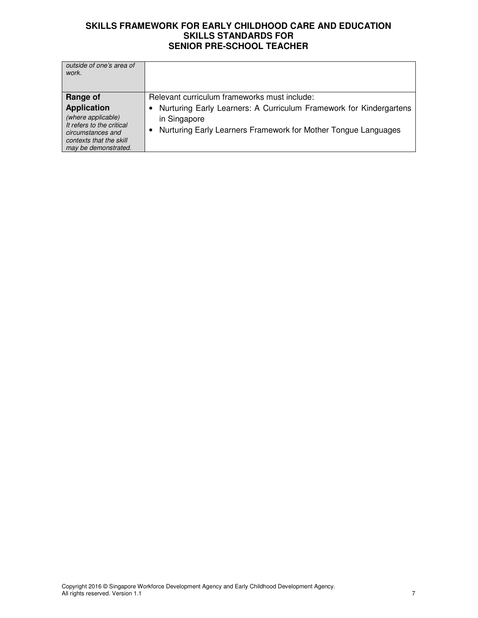| outside of one's area of<br>work.                                                                                                             |                                                                                                                                                      |
|-----------------------------------------------------------------------------------------------------------------------------------------------|------------------------------------------------------------------------------------------------------------------------------------------------------|
| Range of                                                                                                                                      | Relevant curriculum frameworks must include:                                                                                                         |
| <b>Application</b><br>(where applicable)<br>It refers to the critical<br>circumstances and<br>contexts that the skill<br>may be demonstrated. | Nurturing Early Learners: A Curriculum Framework for Kindergartens<br>in Singapore<br>Nurturing Early Learners Framework for Mother Tongue Languages |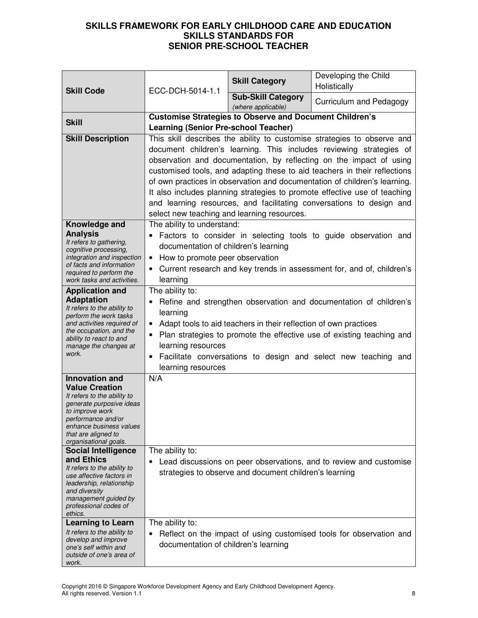| <b>Skill Code</b>                                                                                                                                                                                                                                           | ECC-DCH-5014-1.1                                                                                                                                                                                                                                                                                                                                                                      | <b>Skill Category</b>                                  | Developing the Child<br>Holistically                                                                                                                                                                                                                                                                                                                                                                                                                                                                                                 |
|-------------------------------------------------------------------------------------------------------------------------------------------------------------------------------------------------------------------------------------------------------------|---------------------------------------------------------------------------------------------------------------------------------------------------------------------------------------------------------------------------------------------------------------------------------------------------------------------------------------------------------------------------------------|--------------------------------------------------------|--------------------------------------------------------------------------------------------------------------------------------------------------------------------------------------------------------------------------------------------------------------------------------------------------------------------------------------------------------------------------------------------------------------------------------------------------------------------------------------------------------------------------------------|
|                                                                                                                                                                                                                                                             |                                                                                                                                                                                                                                                                                                                                                                                       | <b>Sub-Skill Category</b><br>(where applicable)        | Curriculum and Pedagogy                                                                                                                                                                                                                                                                                                                                                                                                                                                                                                              |
| <b>Skill</b>                                                                                                                                                                                                                                                | <b>Customise Strategies to Observe and Document Children's</b><br><b>Learning (Senior Pre-school Teacher)</b>                                                                                                                                                                                                                                                                         |                                                        |                                                                                                                                                                                                                                                                                                                                                                                                                                                                                                                                      |
| <b>Skill Description</b>                                                                                                                                                                                                                                    | select new teaching and learning resources.                                                                                                                                                                                                                                                                                                                                           |                                                        | This skill describes the ability to customise strategies to observe and<br>document children's learning. This includes reviewing strategies of<br>observation and documentation, by reflecting on the impact of using<br>customised tools, and adapting these to aid teachers in their reflections<br>of own practices in observation and documentation of children's learning.<br>It also includes planning strategies to promote effective use of teaching<br>and learning resources, and facilitating conversations to design and |
| Knowledge and<br><b>Analysis</b><br>It refers to gathering,<br>cognitive processing,<br>integration and inspection<br>of facts and information<br>required to perform the<br>work tasks and activities.                                                     | The ability to understand:<br>documentation of children's learning<br>How to promote peer observation<br>$\bullet$<br>learning                                                                                                                                                                                                                                                        |                                                        | Factors to consider in selecting tools to guide observation and<br>Current research and key trends in assessment for, and of, children's                                                                                                                                                                                                                                                                                                                                                                                             |
| <b>Application and</b><br><b>Adaptation</b><br>It refers to the ability to<br>perform the work tasks<br>and activities required of<br>the occupation, and the<br>ability to react to and<br>manage the changes at<br>work.                                  | The ability to:<br>Refine and strengthen observation and documentation of children's<br>learning<br>Adapt tools to aid teachers in their reflection of own practices<br>Plan strategies to promote the effective use of existing teaching and<br>$\bullet$<br>learning resources<br>Facilitate conversations to design and select new teaching and<br>$\bullet$<br>learning resources |                                                        |                                                                                                                                                                                                                                                                                                                                                                                                                                                                                                                                      |
| <b>Innovation and</b><br><b>Value Creation</b><br>It refers to the ability to<br>generate purposive ideas<br>to improve work<br>performance and/or<br>enhance business values<br>that are aligned to<br>organisational goals.<br><b>Social Intelligence</b> | N/A<br>The ability to:                                                                                                                                                                                                                                                                                                                                                                |                                                        |                                                                                                                                                                                                                                                                                                                                                                                                                                                                                                                                      |
| and Ethics<br>It refers to the ability to<br>use affective factors in<br>leadership, relationship<br>and diversity<br>management guided by<br>professional codes of<br>ethics.                                                                              |                                                                                                                                                                                                                                                                                                                                                                                       | strategies to observe and document children's learning | Lead discussions on peer observations, and to review and customise                                                                                                                                                                                                                                                                                                                                                                                                                                                                   |
| <b>Learning to Learn</b><br>It refers to the ability to<br>develop and improve<br>one's self within and<br>outside of one's area of<br>work.                                                                                                                | The ability to:<br>٠<br>documentation of children's learning                                                                                                                                                                                                                                                                                                                          |                                                        | Reflect on the impact of using customised tools for observation and                                                                                                                                                                                                                                                                                                                                                                                                                                                                  |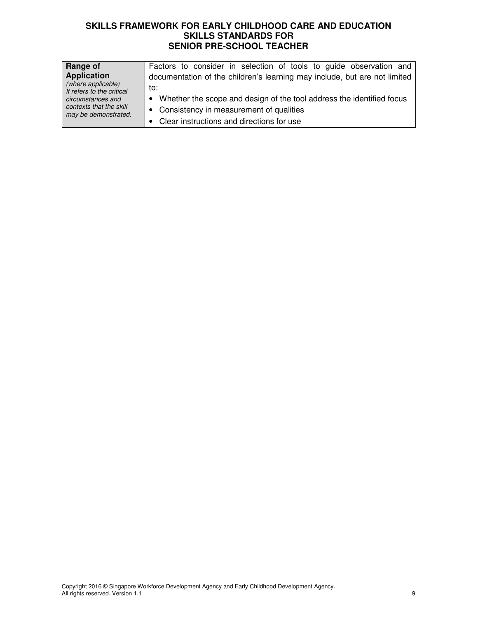| Range of<br><b>Application</b><br>(where applicable)<br>It refers to the critical<br>circumstances and<br>contexts that the skill<br>may be demonstrated. | Factors to consider in selection of tools to guide observation and<br>documentation of the children's learning may include, but are not limited<br>to: |
|-----------------------------------------------------------------------------------------------------------------------------------------------------------|--------------------------------------------------------------------------------------------------------------------------------------------------------|
|                                                                                                                                                           | • Whether the scope and design of the tool address the identified focus<br>• Consistency in measurement of qualities                                   |
|                                                                                                                                                           | Clear instructions and directions for use                                                                                                              |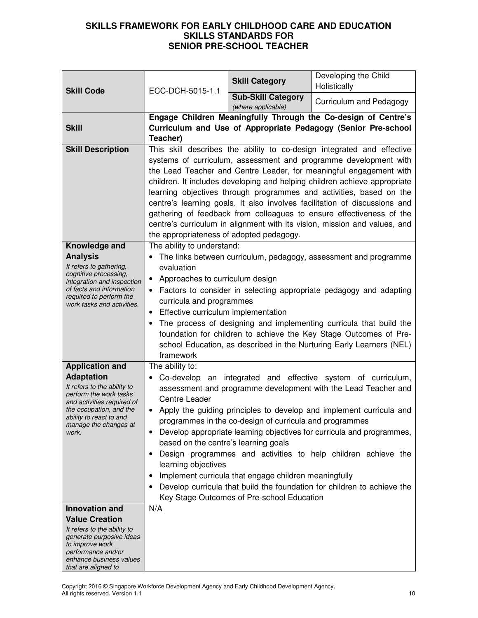| <b>Skill Code</b>                                                                                                                                                                                                          | ECC-DCH-5015-1.1                                                                                                                                                                                                                                                                                                                                                                                                                                                                                                                                                                                                                                                                                                    | <b>Skill Category</b>                           | Developing the Child<br>Holistically                                                                                                                                                                                                                                                                                                                                                                                                                                                                                                                                                                   |
|----------------------------------------------------------------------------------------------------------------------------------------------------------------------------------------------------------------------------|---------------------------------------------------------------------------------------------------------------------------------------------------------------------------------------------------------------------------------------------------------------------------------------------------------------------------------------------------------------------------------------------------------------------------------------------------------------------------------------------------------------------------------------------------------------------------------------------------------------------------------------------------------------------------------------------------------------------|-------------------------------------------------|--------------------------------------------------------------------------------------------------------------------------------------------------------------------------------------------------------------------------------------------------------------------------------------------------------------------------------------------------------------------------------------------------------------------------------------------------------------------------------------------------------------------------------------------------------------------------------------------------------|
|                                                                                                                                                                                                                            |                                                                                                                                                                                                                                                                                                                                                                                                                                                                                                                                                                                                                                                                                                                     | <b>Sub-Skill Category</b><br>(where applicable) | Curriculum and Pedagogy                                                                                                                                                                                                                                                                                                                                                                                                                                                                                                                                                                                |
| <b>Skill</b>                                                                                                                                                                                                               | Engage Children Meaningfully Through the Co-design of Centre's<br>Curriculum and Use of Appropriate Pedagogy (Senior Pre-school<br>Teacher)                                                                                                                                                                                                                                                                                                                                                                                                                                                                                                                                                                         |                                                 |                                                                                                                                                                                                                                                                                                                                                                                                                                                                                                                                                                                                        |
| <b>Skill Description</b>                                                                                                                                                                                                   | the appropriateness of adopted pedagogy.                                                                                                                                                                                                                                                                                                                                                                                                                                                                                                                                                                                                                                                                            |                                                 | This skill describes the ability to co-design integrated and effective<br>systems of curriculum, assessment and programme development with<br>the Lead Teacher and Centre Leader, for meaningful engagement with<br>children. It includes developing and helping children achieve appropriate<br>learning objectives through programmes and activities, based on the<br>centre's learning goals. It also involves facilitation of discussions and<br>gathering of feedback from colleagues to ensure effectiveness of the<br>centre's curriculum in alignment with its vision, mission and values, and |
| Knowledge and<br><b>Analysis</b><br>It refers to gathering,<br>cognitive processing,<br>integration and inspection<br>of facts and information<br>required to perform the<br>work tasks and activities.                    | The ability to understand:<br>The links between curriculum, pedagogy, assessment and programme<br>evaluation<br>Approaches to curriculum design<br>$\bullet$<br>Factors to consider in selecting appropriate pedagogy and adapting<br>curricula and programmes<br>Effective curriculum implementation<br>$\bullet$<br>The process of designing and implementing curricula that build the<br>foundation for children to achieve the Key Stage Outcomes of Pre-<br>school Education, as described in the Nurturing Early Learners (NEL)<br>framework                                                                                                                                                                  |                                                 |                                                                                                                                                                                                                                                                                                                                                                                                                                                                                                                                                                                                        |
| <b>Application and</b><br><b>Adaptation</b><br>It refers to the ability to<br>perform the work tasks<br>and activities required of<br>the occupation, and the<br>ability to react to and<br>manage the changes at<br>work. | The ability to:<br>Co-develop an integrated and effective system of curriculum,<br>assessment and programme development with the Lead Teacher and<br><b>Centre Leader</b><br>Apply the guiding principles to develop and implement curricula and<br>programmes in the co-design of curricula and programmes<br>Develop appropriate learning objectives for curricula and programmes,<br>$\bullet$<br>based on the centre's learning goals<br>Design programmes and activities to help children achieve the<br>learning objectives<br>Implement curricula that engage children meaningfully<br>Develop curricula that build the foundation for children to achieve the<br>Key Stage Outcomes of Pre-school Education |                                                 |                                                                                                                                                                                                                                                                                                                                                                                                                                                                                                                                                                                                        |
| <b>Innovation and</b><br><b>Value Creation</b><br>It refers to the ability to<br>generate purposive ideas<br>to improve work<br>performance and/or<br>enhance business values<br>that are aligned to                       | N/A                                                                                                                                                                                                                                                                                                                                                                                                                                                                                                                                                                                                                                                                                                                 |                                                 |                                                                                                                                                                                                                                                                                                                                                                                                                                                                                                                                                                                                        |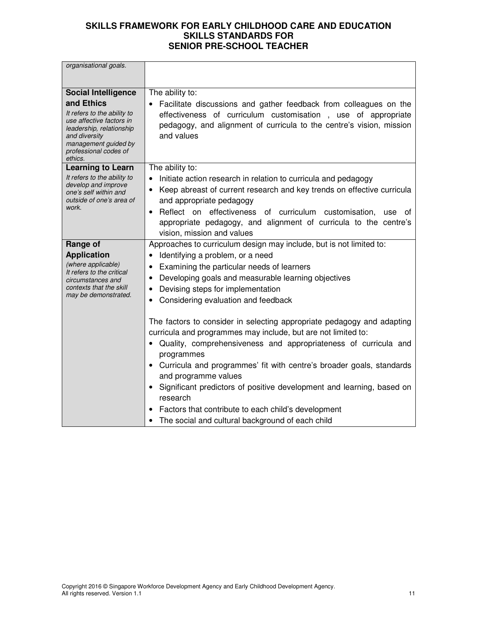| organisational goals.                                                                                                                                                          |                                                                                                                                                                                                                                                                                                                                                                                                                                                                                                                            |
|--------------------------------------------------------------------------------------------------------------------------------------------------------------------------------|----------------------------------------------------------------------------------------------------------------------------------------------------------------------------------------------------------------------------------------------------------------------------------------------------------------------------------------------------------------------------------------------------------------------------------------------------------------------------------------------------------------------------|
|                                                                                                                                                                                |                                                                                                                                                                                                                                                                                                                                                                                                                                                                                                                            |
| <b>Social Intelligence</b>                                                                                                                                                     | The ability to:                                                                                                                                                                                                                                                                                                                                                                                                                                                                                                            |
| and Ethics<br>It refers to the ability to<br>use affective factors in<br>leadership, relationship<br>and diversity<br>management guided by<br>professional codes of<br>ethics. | Facilitate discussions and gather feedback from colleagues on the<br>effectiveness of curriculum customisation, use of appropriate<br>pedagogy, and alignment of curricula to the centre's vision, mission<br>and values                                                                                                                                                                                                                                                                                                   |
| <b>Learning to Learn</b>                                                                                                                                                       | The ability to:                                                                                                                                                                                                                                                                                                                                                                                                                                                                                                            |
| It refers to the ability to<br>develop and improve<br>one's self within and<br>outside of one's area of<br>work.                                                               | Initiate action research in relation to curricula and pedagogy<br>Keep abreast of current research and key trends on effective curricula<br>$\bullet$<br>and appropriate pedagogy<br>Reflect on effectiveness of curriculum customisation,<br>$\bullet$<br>use<br>0t<br>appropriate pedagogy, and alignment of curricula to the centre's<br>vision, mission and values                                                                                                                                                     |
| Range of                                                                                                                                                                       | Approaches to curriculum design may include, but is not limited to:                                                                                                                                                                                                                                                                                                                                                                                                                                                        |
| <b>Application</b><br>(where applicable)<br>It refers to the critical<br>circumstances and<br>contexts that the skill<br>may be demonstrated.                                  | Identifying a problem, or a need<br>Examining the particular needs of learners<br>Developing goals and measurable learning objectives<br>$\bullet$<br>Devising steps for implementation<br>Considering evaluation and feedback                                                                                                                                                                                                                                                                                             |
|                                                                                                                                                                                | The factors to consider in selecting appropriate pedagogy and adapting<br>curricula and programmes may include, but are not limited to:<br>Quality, comprehensiveness and appropriateness of curricula and<br>programmes<br>• Curricula and programmes' fit with centre's broader goals, standards<br>and programme values<br>Significant predictors of positive development and learning, based on<br>research<br>Factors that contribute to each child's development<br>The social and cultural background of each child |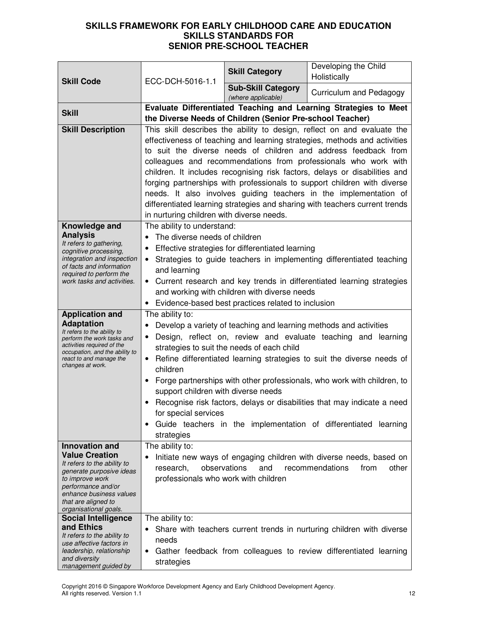|                                                                                                                                                                                                                               |                                                                                                                                                                                                                                                                                                                                                                                                                                                                                                                                                                                                                                                       | <b>Skill Category</b>                                                                                                                                  | Developing the Child<br>Holistically                                                                                                            |
|-------------------------------------------------------------------------------------------------------------------------------------------------------------------------------------------------------------------------------|-------------------------------------------------------------------------------------------------------------------------------------------------------------------------------------------------------------------------------------------------------------------------------------------------------------------------------------------------------------------------------------------------------------------------------------------------------------------------------------------------------------------------------------------------------------------------------------------------------------------------------------------------------|--------------------------------------------------------------------------------------------------------------------------------------------------------|-------------------------------------------------------------------------------------------------------------------------------------------------|
| <b>Skill Code</b>                                                                                                                                                                                                             | ECC-DCH-5016-1.1                                                                                                                                                                                                                                                                                                                                                                                                                                                                                                                                                                                                                                      | <b>Sub-Skill Category</b><br>(where applicable)                                                                                                        | Curriculum and Pedagogy                                                                                                                         |
| <b>Skill</b>                                                                                                                                                                                                                  | Evaluate Differentiated Teaching and Learning Strategies to Meet<br>the Diverse Needs of Children (Senior Pre-school Teacher)                                                                                                                                                                                                                                                                                                                                                                                                                                                                                                                         |                                                                                                                                                        |                                                                                                                                                 |
| <b>Skill Description</b>                                                                                                                                                                                                      | This skill describes the ability to design, reflect on and evaluate the<br>effectiveness of teaching and learning strategies, methods and activities<br>to suit the diverse needs of children and address feedback from<br>colleagues and recommendations from professionals who work with<br>children. It includes recognising risk factors, delays or disabilities and<br>forging partnerships with professionals to support children with diverse<br>needs. It also involves guiding teachers in the implementation of<br>differentiated learning strategies and sharing with teachers current trends<br>in nurturing children with diverse needs. |                                                                                                                                                        |                                                                                                                                                 |
| Knowledge and<br><b>Analysis</b><br>It refers to gathering,<br>cognitive processing,<br>integration and inspection<br>of facts and information<br>required to perform the<br>work tasks and activities.                       | The ability to understand:<br>The diverse needs of children<br>$\bullet$<br>$\bullet$<br>and learning<br>$\bullet$                                                                                                                                                                                                                                                                                                                                                                                                                                                                                                                                    | Effective strategies for differentiated learning<br>and working with children with diverse needs<br>Evidence-based best practices related to inclusion | Strategies to guide teachers in implementing differentiated teaching<br>• Current research and key trends in differentiated learning strategies |
| <b>Application and</b><br><b>Adaptation</b><br>It refers to the ability to<br>perform the work tasks and<br>activities required of the<br>occupation, and the ability to<br>react to and manage the<br>changes at work.       | The ability to:<br>Develop a variety of teaching and learning methods and activities<br>Design, reflect on, review and evaluate teaching and learning<br>strategies to suit the needs of each child<br>Refine differentiated learning strategies to suit the diverse needs of<br>$\bullet$<br>children<br>Forge partnerships with other professionals, who work with children, to<br>support children with diverse needs<br>Recognise risk factors, delays or disabilities that may indicate a need<br>for special services<br>Guide teachers in the implementation of differentiated<br>learning<br>٠<br>strategies                                  |                                                                                                                                                        |                                                                                                                                                 |
| <b>Innovation and</b><br><b>Value Creation</b><br>It refers to the ability to<br>generate purposive ideas<br>to improve work<br>performance and/or<br>enhance business values<br>that are aligned to<br>organisational goals. | The ability to:<br>observations<br>research,<br>professionals who work with children                                                                                                                                                                                                                                                                                                                                                                                                                                                                                                                                                                  | and                                                                                                                                                    | Initiate new ways of engaging children with diverse needs, based on<br>recommendations<br>other<br>from                                         |
| <b>Social Intelligence</b><br>and Ethics<br>It refers to the ability to<br>use affective factors in<br>leadership, relationship<br>and diversity<br>management guided by                                                      | The ability to:<br>needs<br>$\bullet$<br>strategies                                                                                                                                                                                                                                                                                                                                                                                                                                                                                                                                                                                                   |                                                                                                                                                        | Share with teachers current trends in nurturing children with diverse<br>Gather feedback from colleagues to review differentiated learning      |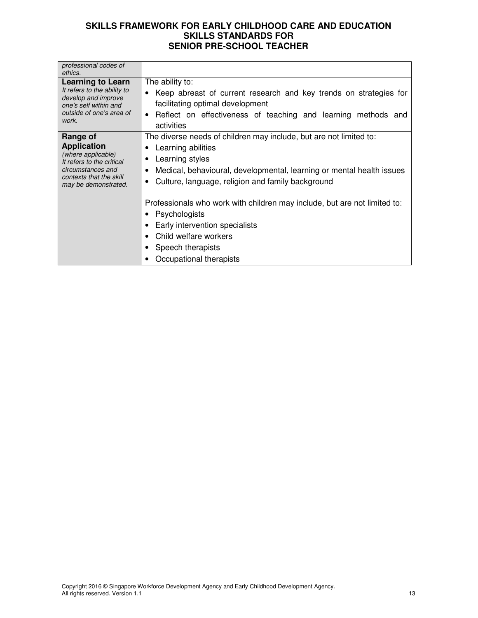| professional codes of<br>ethics.                                                                                                                          |                                                                                                                                                                                                                                           |  |
|-----------------------------------------------------------------------------------------------------------------------------------------------------------|-------------------------------------------------------------------------------------------------------------------------------------------------------------------------------------------------------------------------------------------|--|
| <b>Learning to Learn</b><br>It refers to the ability to<br>develop and improve<br>one's self within and<br>outside of one's area of<br>work.              | The ability to:<br>Keep abreast of current research and key trends on strategies for<br>facilitating optimal development<br>Reflect on effectiveness of teaching and learning methods and<br>$\bullet$<br>activities                      |  |
| Range of<br><b>Application</b><br>(where applicable)<br>It refers to the critical<br>circumstances and<br>contexts that the skill<br>may be demonstrated. | The diverse needs of children may include, but are not limited to:<br>Learning abilities<br>Learning styles<br>Medical, behavioural, developmental, learning or mental health issues<br>Culture, language, religion and family background |  |
|                                                                                                                                                           | Professionals who work with children may include, but are not limited to:<br>Psychologists<br>Early intervention specialists<br>Child welfare workers<br>Speech therapists<br>Occupational therapists                                     |  |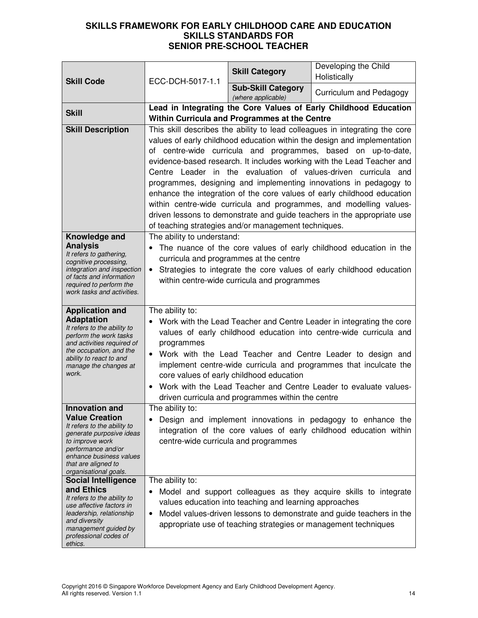| <b>Skill Code</b>                                       | ECC-DCH-5017-1.1                                                                                     | <b>Skill Category</b>                                  | Developing the Child<br>Holistically                                                                                                          |
|---------------------------------------------------------|------------------------------------------------------------------------------------------------------|--------------------------------------------------------|-----------------------------------------------------------------------------------------------------------------------------------------------|
|                                                         |                                                                                                      | <b>Sub-Skill Category</b><br>(where applicable)        | Curriculum and Pedagogy                                                                                                                       |
| <b>Skill</b>                                            | Lead in Integrating the Core Values of Early Childhood Education                                     |                                                        |                                                                                                                                               |
|                                                         |                                                                                                      | Within Curricula and Programmes at the Centre          |                                                                                                                                               |
| <b>Skill Description</b>                                |                                                                                                      |                                                        | This skill describes the ability to lead colleagues in integrating the core                                                                   |
|                                                         |                                                                                                      |                                                        | values of early childhood education within the design and implementation                                                                      |
|                                                         |                                                                                                      |                                                        | of centre-wide curricula and programmes, based on up-to-date,                                                                                 |
|                                                         |                                                                                                      |                                                        | evidence-based research. It includes working with the Lead Teacher and                                                                        |
|                                                         |                                                                                                      |                                                        | Centre Leader in the evaluation of values-driven curricula and                                                                                |
|                                                         |                                                                                                      |                                                        | programmes, designing and implementing innovations in pedagogy to                                                                             |
|                                                         |                                                                                                      |                                                        | enhance the integration of the core values of early childhood education                                                                       |
|                                                         |                                                                                                      |                                                        | within centre-wide curricula and programmes, and modelling values-<br>driven lessons to demonstrate and guide teachers in the appropriate use |
|                                                         |                                                                                                      | of teaching strategies and/or management techniques.   |                                                                                                                                               |
| Knowledge and                                           | The ability to understand:                                                                           |                                                        |                                                                                                                                               |
| <b>Analysis</b>                                         |                                                                                                      |                                                        | The nuance of the core values of early childhood education in the                                                                             |
| It refers to gathering,<br>cognitive processing,        |                                                                                                      | curricula and programmes at the centre                 |                                                                                                                                               |
| integration and inspection                              | $\bullet$                                                                                            |                                                        | Strategies to integrate the core values of early childhood education                                                                          |
| of facts and information<br>required to perform the     |                                                                                                      | within centre-wide curricula and programmes            |                                                                                                                                               |
| work tasks and activities.                              |                                                                                                      |                                                        |                                                                                                                                               |
|                                                         |                                                                                                      |                                                        |                                                                                                                                               |
| <b>Application and</b><br><b>Adaptation</b>             | The ability to:<br>Work with the Lead Teacher and Centre Leader in integrating the core<br>$\bullet$ |                                                        |                                                                                                                                               |
| It refers to the ability to                             |                                                                                                      |                                                        |                                                                                                                                               |
| perform the work tasks<br>and activities required of    | programmes                                                                                           |                                                        | values of early childhood education into centre-wide curricula and                                                                            |
| the occupation, and the                                 | $\bullet$                                                                                            |                                                        | Work with the Lead Teacher and Centre Leader to design and                                                                                    |
| ability to react to and<br>manage the changes at        |                                                                                                      |                                                        | implement centre-wide curricula and programmes that inculcate the                                                                             |
| work.                                                   |                                                                                                      | core values of early childhood education               |                                                                                                                                               |
|                                                         | $\bullet$                                                                                            |                                                        | Work with the Lead Teacher and Centre Leader to evaluate values-                                                                              |
|                                                         |                                                                                                      | driven curricula and programmes within the centre      |                                                                                                                                               |
| <b>Innovation and</b>                                   | The ability to:                                                                                      |                                                        |                                                                                                                                               |
| <b>Value Creation</b><br>It refers to the ability to    |                                                                                                      |                                                        | Design and implement innovations in pedagogy to enhance the                                                                                   |
| generate purposive ideas                                |                                                                                                      |                                                        | integration of the core values of early childhood education within                                                                            |
| to improve work<br>performance and/or                   |                                                                                                      | centre-wide curricula and programmes                   |                                                                                                                                               |
| enhance business values                                 |                                                                                                      |                                                        |                                                                                                                                               |
| that are aligned to<br>organisational goals.            |                                                                                                      |                                                        |                                                                                                                                               |
| <b>Social Intelligence</b>                              | The ability to:                                                                                      |                                                        |                                                                                                                                               |
| and Ethics                                              |                                                                                                      |                                                        | Model and support colleagues as they acquire skills to integrate                                                                              |
| It refers to the ability to<br>use affective factors in |                                                                                                      | values education into teaching and learning approaches |                                                                                                                                               |
| leadership, relationship                                | $\bullet$                                                                                            |                                                        | Model values-driven lessons to demonstrate and guide teachers in the                                                                          |
| and diversity<br>management guided by                   |                                                                                                      |                                                        | appropriate use of teaching strategies or management techniques                                                                               |
| professional codes of                                   |                                                                                                      |                                                        |                                                                                                                                               |
| ethics.                                                 |                                                                                                      |                                                        |                                                                                                                                               |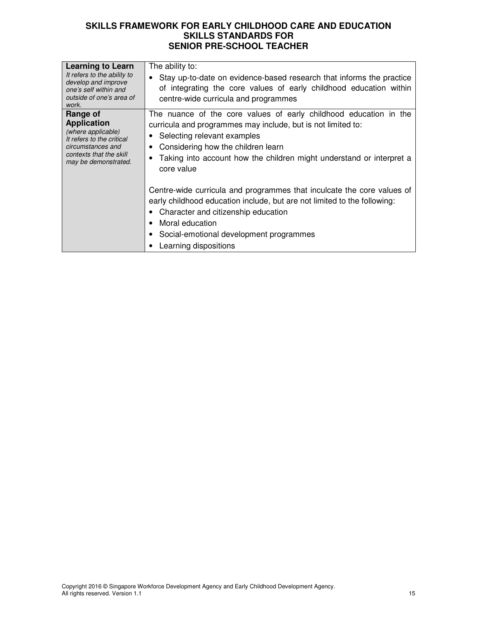| <b>Learning to Learn</b><br>It refers to the ability to<br>develop and improve<br>one's self within and<br>outside of one's area of<br>work.              | The ability to:<br>Stay up-to-date on evidence-based research that informs the practice<br>of integrating the core values of early childhood education within<br>centre-wide curricula and programmes                                                                                          |
|-----------------------------------------------------------------------------------------------------------------------------------------------------------|------------------------------------------------------------------------------------------------------------------------------------------------------------------------------------------------------------------------------------------------------------------------------------------------|
| Range of<br><b>Application</b><br>(where applicable)<br>It refers to the critical<br>circumstances and<br>contexts that the skill<br>may be demonstrated. | The nuance of the core values of early childhood education in the<br>curricula and programmes may include, but is not limited to:<br>• Selecting relevant examples<br>Considering how the children learn<br>Taking into account how the children might understand or interpret a<br>core value |
|                                                                                                                                                           | Centre-wide curricula and programmes that inculcate the core values of<br>early childhood education include, but are not limited to the following:<br>• Character and citizenship education<br>Moral education<br>Social-emotional development programmes<br>Learning dispositions             |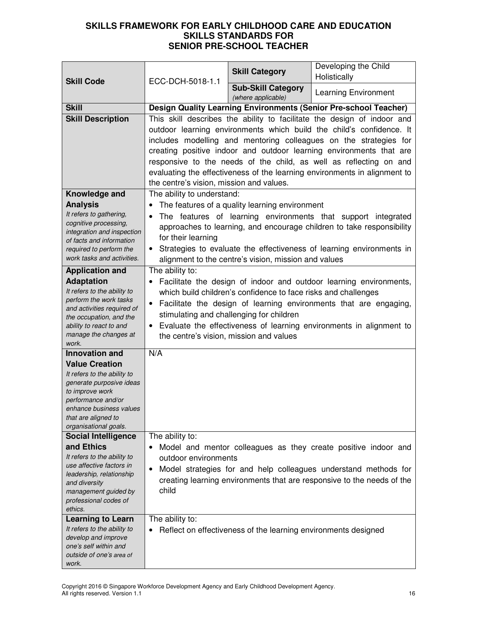| <b>Skill Code</b>                                                                                                                                                                                    | ECC-DCH-5018-1.1                                                                                                                                                                                                                                                                                                                                                                                                                                                                           | <b>Skill Category</b>                                          | Developing the Child<br>Holistically                                                                                                                                                                        |
|------------------------------------------------------------------------------------------------------------------------------------------------------------------------------------------------------|--------------------------------------------------------------------------------------------------------------------------------------------------------------------------------------------------------------------------------------------------------------------------------------------------------------------------------------------------------------------------------------------------------------------------------------------------------------------------------------------|----------------------------------------------------------------|-------------------------------------------------------------------------------------------------------------------------------------------------------------------------------------------------------------|
|                                                                                                                                                                                                      |                                                                                                                                                                                                                                                                                                                                                                                                                                                                                            | <b>Sub-Skill Category</b><br>(where applicable)                | <b>Learning Environment</b>                                                                                                                                                                                 |
| <b>Skill</b>                                                                                                                                                                                         |                                                                                                                                                                                                                                                                                                                                                                                                                                                                                            |                                                                | Design Quality Learning Environments (Senior Pre-school Teacher)                                                                                                                                            |
| <b>Skill Description</b>                                                                                                                                                                             | This skill describes the ability to facilitate the design of indoor and<br>outdoor learning environments which build the child's confidence. It<br>includes modelling and mentoring colleagues on the strategies for<br>creating positive indoor and outdoor learning environments that are<br>responsive to the needs of the child, as well as reflecting on and<br>evaluating the effectiveness of the learning environments in alignment to<br>the centre's vision, mission and values. |                                                                |                                                                                                                                                                                                             |
| Knowledge and                                                                                                                                                                                        | The ability to understand:                                                                                                                                                                                                                                                                                                                                                                                                                                                                 |                                                                |                                                                                                                                                                                                             |
| <b>Analysis</b><br>It refers to gathering,<br>cognitive processing,<br>integration and inspection<br>of facts and information<br>required to perform the<br>work tasks and activities.               | The features of a quality learning environment<br>$\bullet$<br>The features of learning environments that support integrated<br>$\bullet$<br>approaches to learning, and encourage children to take responsibility<br>for their learning<br>Strategies to evaluate the effectiveness of learning environments in<br>alignment to the centre's vision, mission and values                                                                                                                   |                                                                |                                                                                                                                                                                                             |
| <b>Application and</b>                                                                                                                                                                               | The ability to:                                                                                                                                                                                                                                                                                                                                                                                                                                                                            |                                                                |                                                                                                                                                                                                             |
| <b>Adaptation</b><br>It refers to the ability to<br>perform the work tasks<br>and activities required of<br>the occupation, and the<br>ability to react to and<br>manage the changes at<br>work.     | Facilitate the design of indoor and outdoor learning environments,<br>which build children's confidence to face risks and challenges<br>Facilitate the design of learning environments that are engaging,<br>$\bullet$<br>stimulating and challenging for children<br>Evaluate the effectiveness of learning environments in alignment to<br>$\bullet$<br>the centre's vision, mission and values                                                                                          |                                                                |                                                                                                                                                                                                             |
| <b>Innovation and</b>                                                                                                                                                                                | N/A                                                                                                                                                                                                                                                                                                                                                                                                                                                                                        |                                                                |                                                                                                                                                                                                             |
| <b>Value Creation</b><br>It refers to the ability to<br>generate purposive ideas<br>to improve work<br>performance and/or<br>enhance business values<br>that are aligned to<br>organisational goals. |                                                                                                                                                                                                                                                                                                                                                                                                                                                                                            |                                                                |                                                                                                                                                                                                             |
| <b>Social Intelligence</b>                                                                                                                                                                           | The ability to:                                                                                                                                                                                                                                                                                                                                                                                                                                                                            |                                                                |                                                                                                                                                                                                             |
| and Ethics<br>It refers to the ability to<br>use affective factors in<br>leadership, relationship<br>and diversity<br>management guided by<br>professional codes of<br>ethics.                       | outdoor environments<br>$\bullet$<br>child                                                                                                                                                                                                                                                                                                                                                                                                                                                 |                                                                | Model and mentor colleagues as they create positive indoor and<br>Model strategies for and help colleagues understand methods for<br>creating learning environments that are responsive to the needs of the |
| <b>Learning to Learn</b><br>It refers to the ability to<br>develop and improve<br>one's self within and<br>outside of one's area of<br>work.                                                         | The ability to:                                                                                                                                                                                                                                                                                                                                                                                                                                                                            | Reflect on effectiveness of the learning environments designed |                                                                                                                                                                                                             |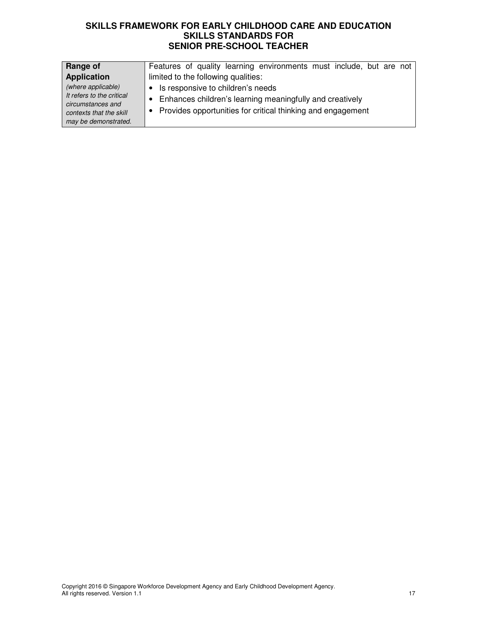| Range of                                                                                                                | Features of quality learning environments must include, but are not                                                                                                |
|-------------------------------------------------------------------------------------------------------------------------|--------------------------------------------------------------------------------------------------------------------------------------------------------------------|
| <b>Application</b>                                                                                                      | limited to the following qualities:                                                                                                                                |
| (where applicable)<br>It refers to the critical<br>circumstances and<br>contexts that the skill<br>may be demonstrated. | • Is responsive to children's needs<br>• Enhances children's learning meaningfully and creatively<br>• Provides opportunities for critical thinking and engagement |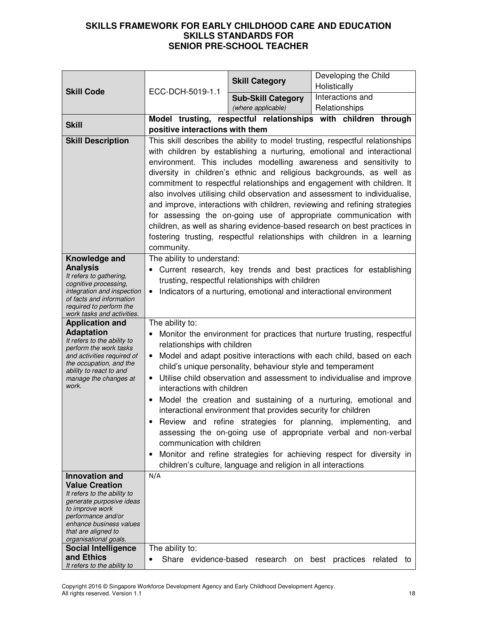| <b>Skill Code</b>                                       | ECC-DCH-5019-1.1                                                                           | <b>Skill Category</b>                                              | Developing the Child<br>Holistically                                                                                                      |  |
|---------------------------------------------------------|--------------------------------------------------------------------------------------------|--------------------------------------------------------------------|-------------------------------------------------------------------------------------------------------------------------------------------|--|
|                                                         |                                                                                            | <b>Sub-Skill Category</b>                                          | Interactions and                                                                                                                          |  |
|                                                         |                                                                                            | (where applicable)                                                 | Relationships                                                                                                                             |  |
| <b>Skill</b>                                            |                                                                                            |                                                                    | Model trusting, respectful relationships with children through                                                                            |  |
|                                                         | positive interactions with them                                                            |                                                                    |                                                                                                                                           |  |
| <b>Skill Description</b>                                |                                                                                            |                                                                    | This skill describes the ability to model trusting, respectful relationships                                                              |  |
|                                                         |                                                                                            |                                                                    | with children by establishing a nurturing, emotional and interactional                                                                    |  |
|                                                         |                                                                                            |                                                                    | environment. This includes modelling awareness and sensitivity to<br>diversity in children's ethnic and religious backgrounds, as well as |  |
|                                                         |                                                                                            |                                                                    | commitment to respectful relationships and engagement with children. It                                                                   |  |
|                                                         |                                                                                            |                                                                    | also involves utilising child observation and assessment to individualise,                                                                |  |
|                                                         |                                                                                            |                                                                    | and improve, interactions with children, reviewing and refining strategies                                                                |  |
|                                                         |                                                                                            |                                                                    | for assessing the on-going use of appropriate communication with                                                                          |  |
|                                                         |                                                                                            |                                                                    | children, as well as sharing evidence-based research on best practices in                                                                 |  |
|                                                         |                                                                                            |                                                                    | fostering trusting, respectful relationships with children in a learning                                                                  |  |
|                                                         | community.                                                                                 |                                                                    |                                                                                                                                           |  |
| Knowledge and<br><b>Analysis</b>                        | The ability to understand:                                                                 |                                                                    | Current research, key trends and best practices for establishing                                                                          |  |
| It refers to gathering,                                 |                                                                                            | trusting, respectful relationships with children                   |                                                                                                                                           |  |
| cognitive processing,<br>integration and inspection     | $\bullet$                                                                                  |                                                                    |                                                                                                                                           |  |
| of facts and information                                |                                                                                            | Indicators of a nurturing, emotional and interactional environment |                                                                                                                                           |  |
| required to perform the<br>work tasks and activities.   |                                                                                            |                                                                    |                                                                                                                                           |  |
| <b>Application and</b>                                  | The ability to:<br>Monitor the environment for practices that nurture trusting, respectful |                                                                    |                                                                                                                                           |  |
| <b>Adaptation</b><br>It refers to the ability to        |                                                                                            |                                                                    |                                                                                                                                           |  |
| perform the work tasks<br>and activities required of    | relationships with children                                                                |                                                                    | Model and adapt positive interactions with each child, based on each                                                                      |  |
| the occupation, and the                                 |                                                                                            | child's unique personality, behaviour style and temperament        |                                                                                                                                           |  |
| ability to react to and<br>manage the changes at        |                                                                                            |                                                                    | Utilise child observation and assessment to individualise and improve                                                                     |  |
| work.                                                   | interactions with children                                                                 |                                                                    |                                                                                                                                           |  |
|                                                         |                                                                                            |                                                                    | Model the creation and sustaining of a nurturing, emotional and                                                                           |  |
|                                                         |                                                                                            | interactional environment that provides security for children      |                                                                                                                                           |  |
|                                                         |                                                                                            |                                                                    | Review and refine strategies for planning, implementing, and                                                                              |  |
|                                                         | communication with children                                                                |                                                                    | assessing the on-going use of appropriate verbal and non-verbal                                                                           |  |
|                                                         |                                                                                            |                                                                    | Monitor and refine strategies for achieving respect for diversity in                                                                      |  |
|                                                         |                                                                                            | children's culture, language and religion in all interactions      |                                                                                                                                           |  |
| <b>Innovation and</b>                                   | N/A                                                                                        |                                                                    |                                                                                                                                           |  |
| <b>Value Creation</b>                                   |                                                                                            |                                                                    |                                                                                                                                           |  |
| It refers to the ability to<br>generate purposive ideas |                                                                                            |                                                                    |                                                                                                                                           |  |
| to improve work<br>performance and/or                   |                                                                                            |                                                                    |                                                                                                                                           |  |
| enhance business values                                 |                                                                                            |                                                                    |                                                                                                                                           |  |
| that are aligned to<br>organisational goals.            |                                                                                            |                                                                    |                                                                                                                                           |  |
| <b>Social Intelligence</b>                              | The ability to:                                                                            |                                                                    |                                                                                                                                           |  |
| and Ethics<br>It refers to the ability to               |                                                                                            | Share evidence-based research on                                   | best practices related to                                                                                                                 |  |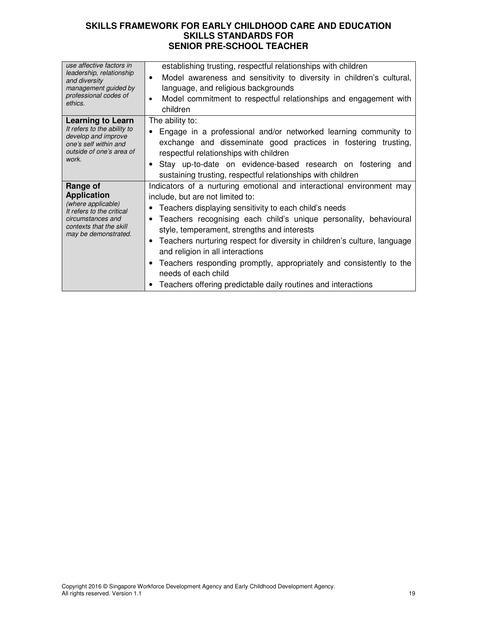| use affective factors in<br>leadership, relationship<br>and diversity<br>management guided by<br>professional codes of<br>ethics.                         | establishing trusting, respectful relationships with children<br>Model awareness and sensitivity to diversity in children's cultural,<br>$\bullet$<br>language, and religious backgrounds<br>Model commitment to respectful relationships and engagement with<br>$\bullet$<br>children                                                                                                                                                                                                                                                                                             |
|-----------------------------------------------------------------------------------------------------------------------------------------------------------|------------------------------------------------------------------------------------------------------------------------------------------------------------------------------------------------------------------------------------------------------------------------------------------------------------------------------------------------------------------------------------------------------------------------------------------------------------------------------------------------------------------------------------------------------------------------------------|
| <b>Learning to Learn</b><br>It refers to the ability to<br>develop and improve<br>one's self within and<br>outside of one's area of<br>work.              | The ability to:<br>Engage in a professional and/or networked learning community to<br>$\bullet$<br>exchange and disseminate good practices in fostering trusting,<br>respectful relationships with children<br>Stay up-to-date on evidence-based research on fostering and<br>sustaining trusting, respectful relationships with children                                                                                                                                                                                                                                          |
| Range of<br><b>Application</b><br>(where applicable)<br>It refers to the critical<br>circumstances and<br>contexts that the skill<br>may be demonstrated. | Indicators of a nurturing emotional and interactional environment may<br>include, but are not limited to:<br>Teachers displaying sensitivity to each child's needs<br>Teachers recognising each child's unique personality, behavioural<br>style, temperament, strengths and interests<br>Teachers nurturing respect for diversity in children's culture, language<br>$\bullet$<br>and religion in all interactions<br>Teachers responding promptly, appropriately and consistently to the<br>needs of each child<br>Teachers offering predictable daily routines and interactions |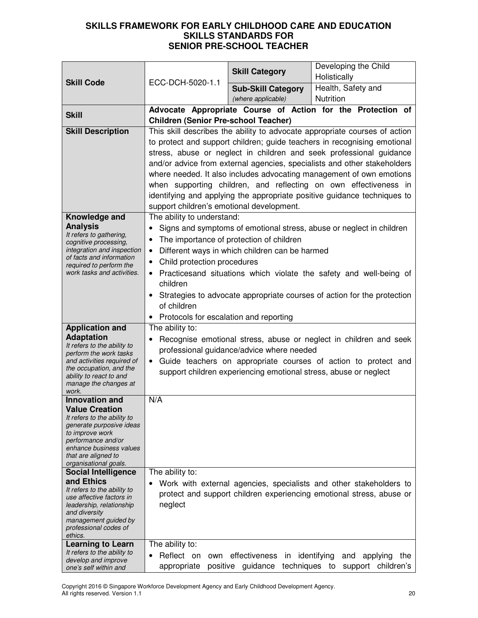|                                                         |                                                                                                                                      | <b>Skill Category</b>                          | Developing the Child                                                       |
|---------------------------------------------------------|--------------------------------------------------------------------------------------------------------------------------------------|------------------------------------------------|----------------------------------------------------------------------------|
| <b>Skill Code</b>                                       | ECC-DCH-5020-1.1                                                                                                                     |                                                | Holistically                                                               |
|                                                         |                                                                                                                                      | <b>Sub-Skill Category</b>                      | Health, Safety and                                                         |
|                                                         |                                                                                                                                      | (where applicable)                             | <b>Nutrition</b>                                                           |
| <b>Skill</b>                                            |                                                                                                                                      |                                                | Advocate Appropriate Course of Action for the Protection of                |
|                                                         | <b>Children (Senior Pre-school Teacher)</b>                                                                                          |                                                |                                                                            |
| <b>Skill Description</b>                                |                                                                                                                                      |                                                | This skill describes the ability to advocate appropriate courses of action |
|                                                         |                                                                                                                                      |                                                | to protect and support children; guide teachers in recognising emotional   |
|                                                         |                                                                                                                                      |                                                | stress, abuse or neglect in children and seek professional guidance        |
|                                                         |                                                                                                                                      |                                                | and/or advice from external agencies, specialists and other stakeholders   |
|                                                         |                                                                                                                                      |                                                | where needed. It also includes advocating management of own emotions       |
|                                                         |                                                                                                                                      |                                                | when supporting children, and reflecting on own effectiveness in           |
|                                                         |                                                                                                                                      |                                                | identifying and applying the appropriate positive guidance techniques to   |
|                                                         | support children's emotional development.                                                                                            |                                                |                                                                            |
| Knowledge and                                           | The ability to understand:                                                                                                           |                                                |                                                                            |
| <b>Analysis</b><br>It refers to gathering,              | $\bullet$                                                                                                                            |                                                | Signs and symptoms of emotional stress, abuse or neglect in children       |
| cognitive processing,                                   | ٠                                                                                                                                    | The importance of protection of children       |                                                                            |
| integration and inspection<br>of facts and information  | $\bullet$                                                                                                                            | Different ways in which children can be harmed |                                                                            |
| required to perform the                                 | Child protection procedures<br>$\bullet$                                                                                             |                                                |                                                                            |
| work tasks and activities.                              |                                                                                                                                      |                                                | Practicesand situations which violate the safety and well-being of         |
|                                                         | children                                                                                                                             |                                                |                                                                            |
|                                                         |                                                                                                                                      |                                                | • Strategies to advocate appropriate courses of action for the protection  |
|                                                         | of children                                                                                                                          |                                                |                                                                            |
|                                                         | • Protocols for escalation and reporting                                                                                             |                                                |                                                                            |
| <b>Application and</b>                                  | The ability to:                                                                                                                      |                                                |                                                                            |
| <b>Adaptation</b><br>It refers to the ability to        | Recognise emotional stress, abuse or neglect in children and seek<br>$\bullet$<br>professional guidance/advice where needed          |                                                |                                                                            |
| perform the work tasks                                  |                                                                                                                                      |                                                |                                                                            |
| and activities required of<br>the occupation, and the   | • Guide teachers on appropriate courses of action to protect and<br>support children experiencing emotional stress, abuse or neglect |                                                |                                                                            |
| ability to react to and                                 |                                                                                                                                      |                                                |                                                                            |
| manage the changes at<br>work.                          |                                                                                                                                      |                                                |                                                                            |
| <b>Innovation and</b>                                   | N/A                                                                                                                                  |                                                |                                                                            |
| <b>Value Creation</b>                                   |                                                                                                                                      |                                                |                                                                            |
| It refers to the ability to<br>generate purposive ideas |                                                                                                                                      |                                                |                                                                            |
| to improve work                                         |                                                                                                                                      |                                                |                                                                            |
| performance and/or<br>enhance business values           |                                                                                                                                      |                                                |                                                                            |
| that are aligned to                                     |                                                                                                                                      |                                                |                                                                            |
| organisational goals.<br><b>Social Intelligence</b>     | The ability to:                                                                                                                      |                                                |                                                                            |
| and Ethics                                              |                                                                                                                                      |                                                | Work with external agencies, specialists and other stakeholders to         |
| It refers to the ability to                             |                                                                                                                                      |                                                | protect and support children experiencing emotional stress, abuse or       |
| use affective factors in<br>leadership, relationship    | neglect                                                                                                                              |                                                |                                                                            |
| and diversity                                           |                                                                                                                                      |                                                |                                                                            |
| management guided by<br>professional codes of           |                                                                                                                                      |                                                |                                                                            |
| ethics.                                                 |                                                                                                                                      |                                                |                                                                            |
| <b>Learning to Learn</b>                                | The ability to:                                                                                                                      |                                                |                                                                            |
| It refers to the ability to<br>develop and improve      | Reflect on<br>own<br>٠                                                                                                               | effectiveness<br>in                            | identifying<br>and<br>applying<br>the                                      |
| one's self within and                                   | appropriate                                                                                                                          | positive guidance<br>techniques to             | support children's                                                         |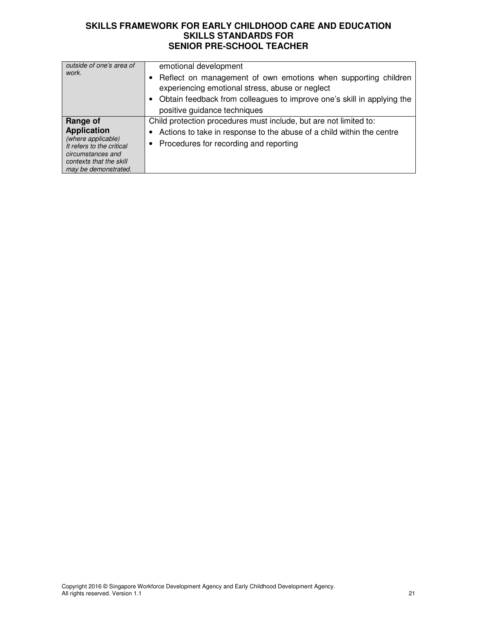| outside of one's area of<br>work.                                                                                                                         | emotional development<br>Reflect on management of own emotions when supporting children<br>experiencing emotional stress, abuse or neglect<br>Obtain feedback from colleagues to improve one's skill in applying the<br>positive guidance techniques |
|-----------------------------------------------------------------------------------------------------------------------------------------------------------|------------------------------------------------------------------------------------------------------------------------------------------------------------------------------------------------------------------------------------------------------|
| Range of<br><b>Application</b><br>(where applicable)<br>It refers to the critical<br>circumstances and<br>contexts that the skill<br>may be demonstrated. | Child protection procedures must include, but are not limited to:<br>Actions to take in response to the abuse of a child within the centre<br>Procedures for recording and reporting<br>٠                                                            |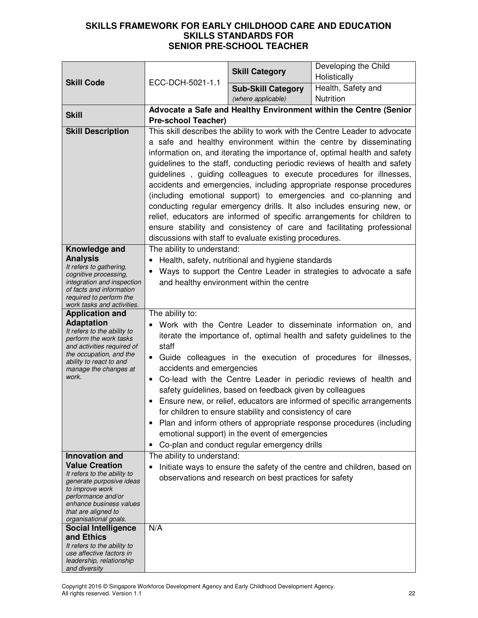|                                                        |                                                                |                                                          | Developing the Child                                                        |
|--------------------------------------------------------|----------------------------------------------------------------|----------------------------------------------------------|-----------------------------------------------------------------------------|
|                                                        |                                                                | <b>Skill Category</b>                                    | Holistically                                                                |
| <b>Skill Code</b>                                      | ECC-DCH-5021-1.1                                               | <b>Sub-Skill Category</b>                                | Health, Safety and                                                          |
|                                                        |                                                                | (where applicable)                                       | Nutrition                                                                   |
|                                                        |                                                                |                                                          |                                                                             |
| <b>Skill</b>                                           |                                                                |                                                          | Advocate a Safe and Healthy Environment within the Centre (Senior           |
|                                                        | <b>Pre-school Teacher)</b>                                     |                                                          |                                                                             |
| <b>Skill Description</b>                               |                                                                |                                                          | This skill describes the ability to work with the Centre Leader to advocate |
|                                                        |                                                                |                                                          | a safe and healthy environment within the centre by disseminating           |
|                                                        |                                                                |                                                          | information on, and iterating the importance of, optimal health and safety  |
|                                                        |                                                                |                                                          | guidelines to the staff, conducting periodic reviews of health and safety   |
|                                                        |                                                                |                                                          | guidelines, guiding colleagues to execute procedures for illnesses,         |
|                                                        |                                                                |                                                          | accidents and emergencies, including appropriate response procedures        |
|                                                        |                                                                |                                                          | (including emotional support) to emergencies and co-planning and            |
|                                                        |                                                                |                                                          | conducting regular emergency drills. It also includes ensuring new, or      |
|                                                        |                                                                |                                                          | relief, educators are informed of specific arrangements for children to     |
|                                                        |                                                                |                                                          | ensure stability and consistency of care and facilitating professional      |
|                                                        |                                                                | discussions with staff to evaluate existing procedures.  |                                                                             |
| Knowledge and                                          | The ability to understand:                                     |                                                          |                                                                             |
| <b>Analysis</b>                                        |                                                                |                                                          |                                                                             |
| It refers to gathering,                                | $\bullet$                                                      | Health, safety, nutritional and hygiene standards        |                                                                             |
| cognitive processing,                                  | $\bullet$                                                      |                                                          | Ways to support the Centre Leader in strategies to advocate a safe          |
| integration and inspection<br>of facts and information |                                                                | and healthy environment within the centre                |                                                                             |
| required to perform the                                |                                                                |                                                          |                                                                             |
| work tasks and activities.                             |                                                                |                                                          |                                                                             |
| <b>Application and</b>                                 | The ability to:                                                |                                                          |                                                                             |
| <b>Adaptation</b><br>It refers to the ability to       | Work with the Centre Leader to disseminate information on, and |                                                          |                                                                             |
| perform the work tasks                                 |                                                                |                                                          | iterate the importance of, optimal health and safety guidelines to the      |
| and activities required of                             | staff                                                          |                                                          |                                                                             |
| the occupation, and the<br>ability to react to and     | $\bullet$                                                      |                                                          | Guide colleagues in the execution of procedures for illnesses,              |
| manage the changes at                                  | accidents and emergencies                                      |                                                          |                                                                             |
| work.                                                  | $\bullet$                                                      |                                                          | Co-lead with the Centre Leader in periodic reviews of health and            |
|                                                        | safety guidelines, based on feedback given by colleagues       |                                                          |                                                                             |
|                                                        |                                                                |                                                          | Ensure new, or relief, educators are informed of specific arrangements      |
|                                                        |                                                                | for children to ensure stability and consistency of care |                                                                             |
|                                                        | $\bullet$                                                      |                                                          | Plan and inform others of appropriate response procedures (including        |
|                                                        | emotional support) in the event of emergencies                 |                                                          |                                                                             |
|                                                        | $\bullet$                                                      | Co-plan and conduct regular emergency drills             |                                                                             |
| Innovation and                                         | The ability to understand:                                     |                                                          |                                                                             |
| <b>Value Creation</b>                                  | $\bullet$                                                      |                                                          | Initiate ways to ensure the safety of the centre and children, based on     |
| It refers to the ability to                            |                                                                | observations and research on best practices for safety   |                                                                             |
| generate purposive ideas                               |                                                                |                                                          |                                                                             |
| to improve work<br>performance and/or                  |                                                                |                                                          |                                                                             |
| enhance business values                                |                                                                |                                                          |                                                                             |
| that are aligned to                                    |                                                                |                                                          |                                                                             |
| organisational goals.<br><b>Social Intelligence</b>    | N/A                                                            |                                                          |                                                                             |
| and Ethics                                             |                                                                |                                                          |                                                                             |
| It refers to the ability to                            |                                                                |                                                          |                                                                             |
| use affective factors in                               |                                                                |                                                          |                                                                             |
| leadership, relationship<br>and diversity              |                                                                |                                                          |                                                                             |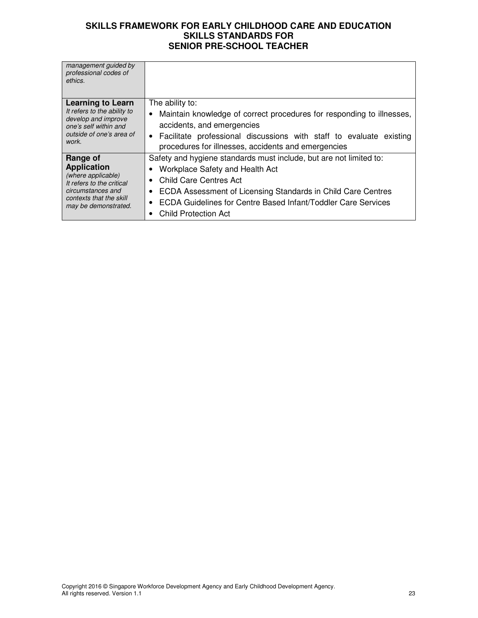| management guided by<br>professional codes of<br>ethics.                                                                                                  |                                                                                                                                                                                                                                                                                                 |
|-----------------------------------------------------------------------------------------------------------------------------------------------------------|-------------------------------------------------------------------------------------------------------------------------------------------------------------------------------------------------------------------------------------------------------------------------------------------------|
| <b>Learning to Learn</b><br>It refers to the ability to<br>develop and improve<br>one's self within and<br>outside of one's area of<br>work.              | The ability to:<br>Maintain knowledge of correct procedures for responding to illnesses,<br>accidents, and emergencies                                                                                                                                                                          |
|                                                                                                                                                           | • Facilitate professional discussions with staff to evaluate existing<br>procedures for illnesses, accidents and emergencies                                                                                                                                                                    |
| Range of<br><b>Application</b><br>(where applicable)<br>It refers to the critical<br>circumstances and<br>contexts that the skill<br>may be demonstrated. | Safety and hygiene standards must include, but are not limited to:<br>Workplace Safety and Health Act<br>Child Care Centres Act<br>ECDA Assessment of Licensing Standards in Child Care Centres<br>ECDA Guidelines for Centre Based Infant/Toddler Care Services<br><b>Child Protection Act</b> |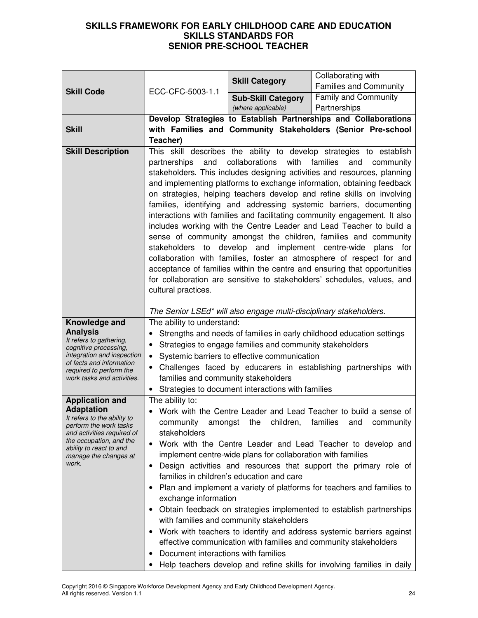| <b>Skill Code</b>                                                                                                                                                                                       |                                                                                                                                                                                                                                                                                                                                                                                                                                                                                                                                                                                                                                                                                                                                                                                                                                                                                                                                                                                                               | <b>Skill Category</b>                                                                                                                                                    | Collaborating with<br><b>Families and Community</b>                                                                                                                                                                                                                                                                                                                                                                                                                                                                                                                                                           |
|---------------------------------------------------------------------------------------------------------------------------------------------------------------------------------------------------------|---------------------------------------------------------------------------------------------------------------------------------------------------------------------------------------------------------------------------------------------------------------------------------------------------------------------------------------------------------------------------------------------------------------------------------------------------------------------------------------------------------------------------------------------------------------------------------------------------------------------------------------------------------------------------------------------------------------------------------------------------------------------------------------------------------------------------------------------------------------------------------------------------------------------------------------------------------------------------------------------------------------|--------------------------------------------------------------------------------------------------------------------------------------------------------------------------|---------------------------------------------------------------------------------------------------------------------------------------------------------------------------------------------------------------------------------------------------------------------------------------------------------------------------------------------------------------------------------------------------------------------------------------------------------------------------------------------------------------------------------------------------------------------------------------------------------------|
|                                                                                                                                                                                                         | ECC-CFC-5003-1.1                                                                                                                                                                                                                                                                                                                                                                                                                                                                                                                                                                                                                                                                                                                                                                                                                                                                                                                                                                                              | <b>Sub-Skill Category</b>                                                                                                                                                | <b>Family and Community</b>                                                                                                                                                                                                                                                                                                                                                                                                                                                                                                                                                                                   |
|                                                                                                                                                                                                         |                                                                                                                                                                                                                                                                                                                                                                                                                                                                                                                                                                                                                                                                                                                                                                                                                                                                                                                                                                                                               | (where applicable)                                                                                                                                                       | Partnerships                                                                                                                                                                                                                                                                                                                                                                                                                                                                                                                                                                                                  |
|                                                                                                                                                                                                         | Develop Strategies to Establish Partnerships and Collaborations                                                                                                                                                                                                                                                                                                                                                                                                                                                                                                                                                                                                                                                                                                                                                                                                                                                                                                                                               |                                                                                                                                                                          |                                                                                                                                                                                                                                                                                                                                                                                                                                                                                                                                                                                                               |
| <b>Skill</b>                                                                                                                                                                                            | Teacher)                                                                                                                                                                                                                                                                                                                                                                                                                                                                                                                                                                                                                                                                                                                                                                                                                                                                                                                                                                                                      |                                                                                                                                                                          | with Families and Community Stakeholders (Senior Pre-school                                                                                                                                                                                                                                                                                                                                                                                                                                                                                                                                                   |
| <b>Skill Description</b>                                                                                                                                                                                | This skill describes the ability to develop strategies to establish<br>collaborations<br>with<br>families<br>partnerships<br>and<br>and<br>community<br>stakeholders. This includes designing activities and resources, planning<br>and implementing platforms to exchange information, obtaining feedback<br>on strategies, helping teachers develop and refine skills on involving<br>families, identifying and addressing systemic barriers, documenting<br>interactions with families and facilitating community engagement. It also<br>includes working with the Centre Leader and Lead Teacher to build a<br>sense of community amongst the children, families and community<br>stakeholders to develop and implement centre-wide<br>plans<br>for<br>collaboration with families, foster an atmosphere of respect for and<br>acceptance of families within the centre and ensuring that opportunities<br>for collaboration are sensitive to stakeholders' schedules, values, and<br>cultural practices. |                                                                                                                                                                          |                                                                                                                                                                                                                                                                                                                                                                                                                                                                                                                                                                                                               |
|                                                                                                                                                                                                         |                                                                                                                                                                                                                                                                                                                                                                                                                                                                                                                                                                                                                                                                                                                                                                                                                                                                                                                                                                                                               | The Senior LSEd* will also engage multi-disciplinary stakeholders.                                                                                                       |                                                                                                                                                                                                                                                                                                                                                                                                                                                                                                                                                                                                               |
| Knowledge and<br><b>Analysis</b><br>It refers to gathering,<br>cognitive processing,<br>integration and inspection<br>of facts and information<br>required to perform the<br>work tasks and activities. | The ability to understand:<br>٠<br>$\bullet$<br>$\bullet$<br>families and community stakeholders<br>$\bullet$                                                                                                                                                                                                                                                                                                                                                                                                                                                                                                                                                                                                                                                                                                                                                                                                                                                                                                 | Strategies to engage families and community stakeholders<br>Systemic barriers to effective communication<br>Strategies to document interactions with families            | Strengths and needs of families in early childhood education settings<br>Challenges faced by educarers in establishing partnerships with                                                                                                                                                                                                                                                                                                                                                                                                                                                                      |
| <b>Application and</b>                                                                                                                                                                                  | The ability to:                                                                                                                                                                                                                                                                                                                                                                                                                                                                                                                                                                                                                                                                                                                                                                                                                                                                                                                                                                                               |                                                                                                                                                                          |                                                                                                                                                                                                                                                                                                                                                                                                                                                                                                                                                                                                               |
| <b>Adaptation</b><br>It refers to the ability to<br>perform the work tasks<br>and activities required of<br>the occupation, and the<br>ability to react to and<br>manage the changes at<br>work.        | amongst<br>community<br>stakeholders<br>$\bullet$<br>٠<br>exchange information<br>Document interactions with families                                                                                                                                                                                                                                                                                                                                                                                                                                                                                                                                                                                                                                                                                                                                                                                                                                                                                         | children,<br>the<br>implement centre-wide plans for collaboration with families<br>families in children's education and care<br>with families and community stakeholders | • Work with the Centre Leader and Lead Teacher to build a sense of<br>community<br>tamilies<br>and<br>Work with the Centre Leader and Lead Teacher to develop and<br>Design activities and resources that support the primary role of<br>Plan and implement a variety of platforms for teachers and families to<br>Obtain feedback on strategies implemented to establish partnerships<br>Work with teachers to identify and address systemic barriers against<br>effective communication with families and community stakeholders<br>Help teachers develop and refine skills for involving families in daily |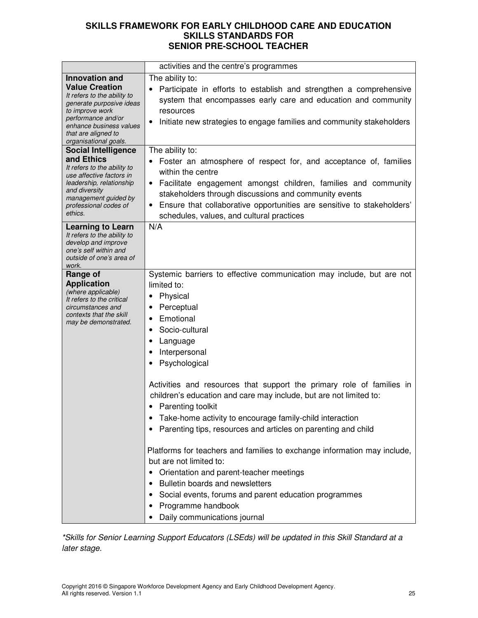|                                                                                                                                                                                                      | activities and the centre's programmes                                                                                                                                                                                                                                                                                                                    |  |  |
|------------------------------------------------------------------------------------------------------------------------------------------------------------------------------------------------------|-----------------------------------------------------------------------------------------------------------------------------------------------------------------------------------------------------------------------------------------------------------------------------------------------------------------------------------------------------------|--|--|
| <b>Innovation and</b>                                                                                                                                                                                | The ability to:                                                                                                                                                                                                                                                                                                                                           |  |  |
| <b>Value Creation</b><br>It refers to the ability to<br>generate purposive ideas<br>to improve work<br>performance and/or<br>enhance business values<br>that are aligned to<br>organisational goals. | Participate in efforts to establish and strengthen a comprehensive<br>system that encompasses early care and education and community<br>resources<br>Initiate new strategies to engage families and community stakeholders<br>٠                                                                                                                           |  |  |
| <b>Social Intelligence</b>                                                                                                                                                                           | The ability to:                                                                                                                                                                                                                                                                                                                                           |  |  |
| and Ethics<br>It refers to the ability to<br>use affective factors in<br>leadership, relationship<br>and diversity<br>management guided by<br>professional codes of<br>ethics.                       | Foster an atmosphere of respect for, and acceptance of, families<br>within the centre<br>Facilitate engagement amongst children, families and community<br>$\bullet$<br>stakeholders through discussions and community events<br>Ensure that collaborative opportunities are sensitive to stakeholders'<br>٠<br>schedules, values, and cultural practices |  |  |
| <b>Learning to Learn</b>                                                                                                                                                                             | N/A                                                                                                                                                                                                                                                                                                                                                       |  |  |
| It refers to the ability to<br>develop and improve<br>one's self within and<br>outside of one's area of<br>work.                                                                                     |                                                                                                                                                                                                                                                                                                                                                           |  |  |
| Range of                                                                                                                                                                                             | Systemic barriers to effective communication may include, but are not                                                                                                                                                                                                                                                                                     |  |  |
| <b>Application</b><br>(where applicable)<br>It refers to the critical<br>circumstances and<br>contexts that the skill<br>may be demonstrated.                                                        | limited to:<br>Physical<br>Perceptual<br>٠<br>Emotional<br>Socio-cultural<br>٠<br>Language<br>Interpersonal<br>Psychological                                                                                                                                                                                                                              |  |  |
|                                                                                                                                                                                                      | Activities and resources that support the primary role of families in<br>children's education and care may include, but are not limited to:<br>• Parenting toolkit<br>Take-home activity to encourage family-child interaction<br>Parenting tips, resources and articles on parenting and child                                                           |  |  |
|                                                                                                                                                                                                      | Platforms for teachers and families to exchange information may include,<br>but are not limited to:<br>Orientation and parent-teacher meetings<br>Bulletin boards and newsletters<br>Social events, forums and parent education programmes<br>Programme handbook<br>Daily communications journal                                                          |  |  |

\*Skills for Senior Learning Support Educators (LSEds) will be updated in this Skill Standard at a later stage.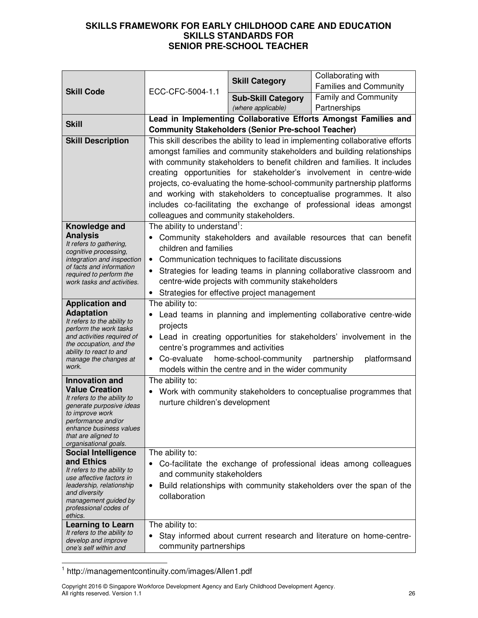| <b>Skill Code</b>                                                                                                                                                                                                             | ECC-CFC-5004-1.1                                                                                                                                                                                                                                                                                                                                                                                                                                                                                                                                                               | <b>Skill Category</b>                                     | Collaborating with<br><b>Families and Community</b>                 |
|-------------------------------------------------------------------------------------------------------------------------------------------------------------------------------------------------------------------------------|--------------------------------------------------------------------------------------------------------------------------------------------------------------------------------------------------------------------------------------------------------------------------------------------------------------------------------------------------------------------------------------------------------------------------------------------------------------------------------------------------------------------------------------------------------------------------------|-----------------------------------------------------------|---------------------------------------------------------------------|
|                                                                                                                                                                                                                               |                                                                                                                                                                                                                                                                                                                                                                                                                                                                                                                                                                                | <b>Sub-Skill Category</b><br>(where applicable)           | <b>Family and Community</b><br>Partnerships                         |
|                                                                                                                                                                                                                               | Lead in Implementing Collaborative Efforts Amongst Families and                                                                                                                                                                                                                                                                                                                                                                                                                                                                                                                |                                                           |                                                                     |
| <b>Skill</b>                                                                                                                                                                                                                  |                                                                                                                                                                                                                                                                                                                                                                                                                                                                                                                                                                                | <b>Community Stakeholders (Senior Pre-school Teacher)</b> |                                                                     |
| <b>Skill Description</b>                                                                                                                                                                                                      | This skill describes the ability to lead in implementing collaborative efforts<br>amongst families and community stakeholders and building relationships<br>with community stakeholders to benefit children and families. It includes<br>creating opportunities for stakeholder's involvement in centre-wide<br>projects, co-evaluating the home-school-community partnership platforms<br>and working with stakeholders to conceptualise programmes. It also<br>includes co-facilitating the exchange of professional ideas amongst<br>colleagues and community stakeholders. |                                                           |                                                                     |
| Knowledge and<br><b>Analysis</b><br>It refers to gathering,<br>cognitive processing,<br>integration and inspection<br>of facts and information<br>required to perform the<br>work tasks and activities.                       | The ability to understand <sup>1</sup> :<br>Community stakeholders and available resources that can benefit<br>children and families<br>• Communication techniques to facilitate discussions<br>Strategies for leading teams in planning collaborative classroom and<br>centre-wide projects with community stakeholders<br>• Strategies for effective project management                                                                                                                                                                                                      |                                                           |                                                                     |
| <b>Application and</b><br><b>Adaptation</b><br>It refers to the ability to<br>perform the work tasks<br>and activities required of<br>the occupation, and the<br>ability to react to and<br>manage the changes at<br>work.    | The ability to:<br>Lead teams in planning and implementing collaborative centre-wide<br>٠<br>projects<br>Lead in creating opportunities for stakeholders' involvement in the<br>$\bullet$<br>centre's programmes and activities<br>Co-evaluate home-school-community<br>partnership<br>platformsand<br>models within the centre and in the wider community                                                                                                                                                                                                                     |                                                           |                                                                     |
| <b>Innovation and</b><br><b>Value Creation</b><br>It refers to the ability to<br>generate purposive ideas<br>to improve work<br>pertormance and/or<br>enhance business values<br>that are aligned to<br>organisational goals. | The ability to:<br>Work with community stakeholders to conceptualise programmes that<br>nurture children's development                                                                                                                                                                                                                                                                                                                                                                                                                                                         |                                                           |                                                                     |
| <b>Social Intelligence</b><br>and Ethics<br>It refers to the ability to<br>use affective factors in<br>leadership, relationship<br>and diversity<br>management guided by<br>professional codes of<br>ethics.                  | The ability to:<br>Co-facilitate the exchange of professional ideas among colleagues<br>and community stakeholders<br>Build relationships with community stakeholders over the span of the<br>٠<br>collaboration                                                                                                                                                                                                                                                                                                                                                               |                                                           |                                                                     |
| <b>Learning to Learn</b><br>It refers to the ability to<br>develop and improve<br>one's self within and                                                                                                                       | The ability to:<br>$\bullet$<br>community partnerships                                                                                                                                                                                                                                                                                                                                                                                                                                                                                                                         |                                                           | Stay informed about current research and literature on home-centre- |

 1 http://managementcontinuity.com/images/Allen1.pdf

Copyright 2016 © Singapore Workforce Development Agency and Early Childhood Development Agency. All rights reserved. Version 1.1 26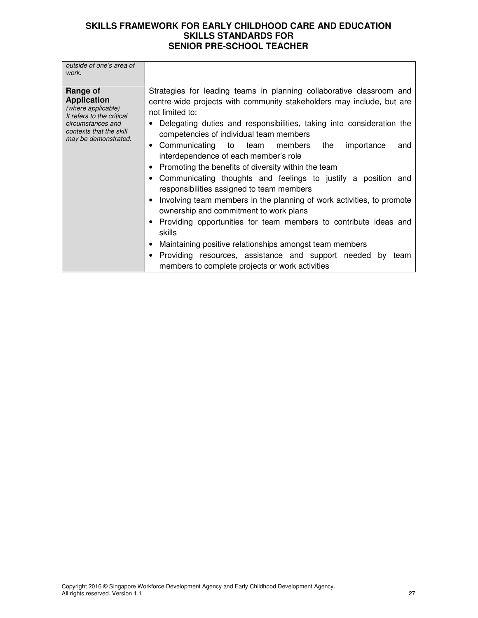| outside of one's area of<br>work.                                                                                                                         |                                                                                                                                                                                                                                                                                                                                                                                                                                                                                                                                                                                                                                                                                                                                                                                                                                                                                                                                                            |
|-----------------------------------------------------------------------------------------------------------------------------------------------------------|------------------------------------------------------------------------------------------------------------------------------------------------------------------------------------------------------------------------------------------------------------------------------------------------------------------------------------------------------------------------------------------------------------------------------------------------------------------------------------------------------------------------------------------------------------------------------------------------------------------------------------------------------------------------------------------------------------------------------------------------------------------------------------------------------------------------------------------------------------------------------------------------------------------------------------------------------------|
| Range of<br><b>Application</b><br>(where applicable)<br>It refers to the critical<br>circumstances and<br>contexts that the skill<br>may be demonstrated. | Strategies for leading teams in planning collaborative classroom and<br>centre-wide projects with community stakeholders may include, but are<br>not limited to:<br>Delegating duties and responsibilities, taking into consideration the<br>competencies of individual team members<br>• Communicating to team members<br>the<br>importance<br>and<br>interdependence of each member's role<br>Promoting the benefits of diversity within the team<br>Communicating thoughts and feelings to justify a position and<br>responsibilities assigned to team members<br>Involving team members in the planning of work activities, to promote<br>٠<br>ownership and commitment to work plans<br>• Providing opportunities for team members to contribute ideas and<br>skills<br>• Maintaining positive relationships amongst team members<br>Providing resources, assistance and support needed by<br>team<br>members to complete projects or work activities |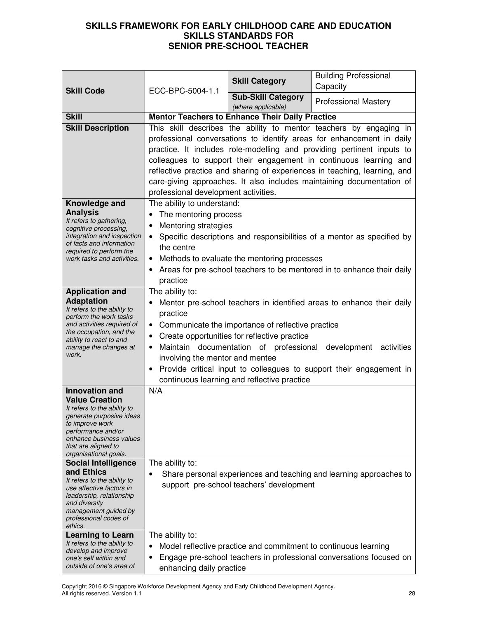| <b>Skill Code</b>                                                                                                                                                                                                                                           | ECC-BPC-5004-1.1                                                                                                                                                                                                                                                                                                                                                                                                                                                                         | <b>Skill Category</b>                                  | <b>Building Professional</b><br>Capacity                                                                                                         |
|-------------------------------------------------------------------------------------------------------------------------------------------------------------------------------------------------------------------------------------------------------------|------------------------------------------------------------------------------------------------------------------------------------------------------------------------------------------------------------------------------------------------------------------------------------------------------------------------------------------------------------------------------------------------------------------------------------------------------------------------------------------|--------------------------------------------------------|--------------------------------------------------------------------------------------------------------------------------------------------------|
|                                                                                                                                                                                                                                                             |                                                                                                                                                                                                                                                                                                                                                                                                                                                                                          | <b>Sub-Skill Category</b><br>(where applicable)        | <b>Professional Mastery</b>                                                                                                                      |
| <b>Skill</b>                                                                                                                                                                                                                                                |                                                                                                                                                                                                                                                                                                                                                                                                                                                                                          | <b>Mentor Teachers to Enhance Their Daily Practice</b> |                                                                                                                                                  |
| <b>Skill Description</b>                                                                                                                                                                                                                                    | This skill describes the ability to mentor teachers by engaging in<br>professional conversations to identify areas for enhancement in daily<br>practice. It includes role-modelling and providing pertinent inputs to<br>colleagues to support their engagement in continuous learning and<br>reflective practice and sharing of experiences in teaching, learning, and<br>care-giving approaches. It also includes maintaining documentation of<br>professional development activities. |                                                        |                                                                                                                                                  |
| Knowledge and<br><b>Analysis</b><br>It refers to gathering,<br>cognitive processing,<br>integration and inspection<br>of facts and information<br>required to perform the<br>work tasks and activities.                                                     | The ability to understand:<br>The mentoring process<br>٠<br><b>Mentoring strategies</b><br>$\bullet$<br>$\bullet$<br>the centre<br>$\bullet$<br>$\bullet$<br>practice                                                                                                                                                                                                                                                                                                                    | Methods to evaluate the mentoring processes            | Specific descriptions and responsibilities of a mentor as specified by<br>Areas for pre-school teachers to be mentored in to enhance their daily |
| <b>Application and</b><br><b>Adaptation</b><br>It refers to the ability to<br>perform the work tasks<br>and activities required of<br>the occupation, and the<br>ability to react to and<br>manage the changes at<br>work.                                  | The ability to:<br>Mentor pre-school teachers in identified areas to enhance their daily<br>$\bullet$<br>practice<br>• Communicate the importance of reflective practice<br>Create opportunities for reflective practice<br>$\bullet$<br>Maintain documentation of professional<br>development activities<br>$\bullet$<br>involving the mentor and mentee<br>Provide critical input to colleagues to support their engagement in<br>٠<br>continuous learning and reflective practice     |                                                        |                                                                                                                                                  |
| <b>Innovation and</b><br><b>Value Creation</b><br>It refers to the ability to<br>generate purposive ideas<br>to improve work<br>performance and/or<br>enhance business values<br>that are aligned to<br>organisational goals.<br><b>Social Intelligence</b> | N/A<br>The ability to:                                                                                                                                                                                                                                                                                                                                                                                                                                                                   |                                                        |                                                                                                                                                  |
| and Ethics<br>It refers to the ability to<br>use affective factors in<br>leadership, relationship<br>and diversity<br>management guided by<br>professional codes of<br>ethics.                                                                              | $\bullet$                                                                                                                                                                                                                                                                                                                                                                                                                                                                                | support pre-school teachers' development               | Share personal experiences and teaching and learning approaches to                                                                               |
| <b>Learning to Learn</b><br>It refers to the ability to<br>develop and improve<br>one's self within and<br>outside of one's area of                                                                                                                         | The ability to:<br>Model reflective practice and commitment to continuous learning<br>٠<br>Engage pre-school teachers in professional conversations focused on<br>٠<br>enhancing daily practice                                                                                                                                                                                                                                                                                          |                                                        |                                                                                                                                                  |

Copyright 2016 © Singapore Workforce Development Agency and Early Childhood Development Agency. All rights reserved. Version 1.1 28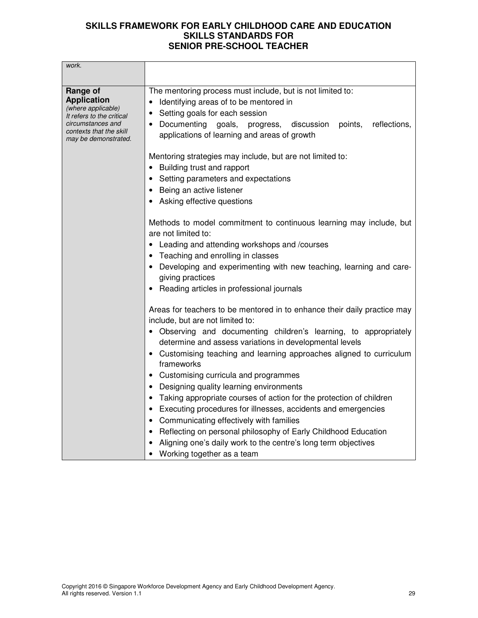| work.                                                                                                  |                                                                                                                                                                                                                    |  |  |
|--------------------------------------------------------------------------------------------------------|--------------------------------------------------------------------------------------------------------------------------------------------------------------------------------------------------------------------|--|--|
| Range of<br><b>Application</b><br>(where applicable)<br>It refers to the critical<br>circumstances and | The mentoring process must include, but is not limited to:<br>Identifying areas of to be mentored in<br>Setting goals for each session<br>Documenting<br>progress, discussion<br>reflections,<br>goals,<br>points, |  |  |
| contexts that the skill<br>may be demonstrated.                                                        | applications of learning and areas of growth                                                                                                                                                                       |  |  |
|                                                                                                        | Mentoring strategies may include, but are not limited to:                                                                                                                                                          |  |  |
|                                                                                                        | Building trust and rapport                                                                                                                                                                                         |  |  |
|                                                                                                        | Setting parameters and expectations                                                                                                                                                                                |  |  |
|                                                                                                        | Being an active listener                                                                                                                                                                                           |  |  |
|                                                                                                        | Asking effective questions                                                                                                                                                                                         |  |  |
|                                                                                                        | Methods to model commitment to continuous learning may include, but<br>are not limited to:                                                                                                                         |  |  |
|                                                                                                        | Leading and attending workshops and /courses<br>$\bullet$                                                                                                                                                          |  |  |
|                                                                                                        | • Teaching and enrolling in classes                                                                                                                                                                                |  |  |
|                                                                                                        | Developing and experimenting with new teaching, learning and care-<br>giving practices                                                                                                                             |  |  |
|                                                                                                        | Reading articles in professional journals                                                                                                                                                                          |  |  |
|                                                                                                        | Areas for teachers to be mentored in to enhance their daily practice may<br>include, but are not limited to:                                                                                                       |  |  |
|                                                                                                        | • Observing and documenting children's learning, to appropriately<br>determine and assess variations in developmental levels                                                                                       |  |  |
|                                                                                                        | Customising teaching and learning approaches aligned to curriculum<br>frameworks                                                                                                                                   |  |  |
|                                                                                                        | Customising curricula and programmes                                                                                                                                                                               |  |  |
|                                                                                                        | Designing quality learning environments                                                                                                                                                                            |  |  |
|                                                                                                        | Taking appropriate courses of action for the protection of children                                                                                                                                                |  |  |
|                                                                                                        | Executing procedures for illnesses, accidents and emergencies                                                                                                                                                      |  |  |
|                                                                                                        | Communicating effectively with families                                                                                                                                                                            |  |  |
|                                                                                                        | Reflecting on personal philosophy of Early Childhood Education                                                                                                                                                     |  |  |
|                                                                                                        | Aligning one's daily work to the centre's long term objectives                                                                                                                                                     |  |  |
|                                                                                                        | Working together as a team<br>$\bullet$                                                                                                                                                                            |  |  |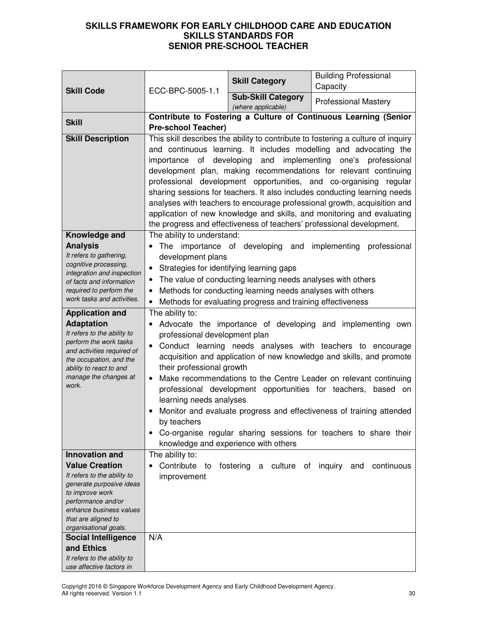| <b>Skill Code</b>                                     |                                                                                                                                       | <b>Skill Category</b>                                       | <b>Building Professional</b><br>Capacity                                         |
|-------------------------------------------------------|---------------------------------------------------------------------------------------------------------------------------------------|-------------------------------------------------------------|----------------------------------------------------------------------------------|
|                                                       | ECC-BPC-5005-1.1                                                                                                                      | <b>Sub-Skill Category</b>                                   |                                                                                  |
|                                                       |                                                                                                                                       | (where applicable)                                          | <b>Professional Mastery</b>                                                      |
| <b>Skill</b>                                          | Contribute to Fostering a Culture of Continuous Learning (Senior                                                                      |                                                             |                                                                                  |
|                                                       | <b>Pre-school Teacher)</b>                                                                                                            |                                                             |                                                                                  |
| <b>Skill Description</b>                              |                                                                                                                                       |                                                             | This skill describes the ability to contribute to fostering a culture of inquiry |
|                                                       |                                                                                                                                       |                                                             | and continuous learning. It includes modelling and advocating the                |
|                                                       | importance of developing and implementing<br>one's professional                                                                       |                                                             |                                                                                  |
|                                                       | development plan, making recommendations for relevant continuing<br>professional development opportunities, and co-organising regular |                                                             |                                                                                  |
|                                                       |                                                                                                                                       |                                                             | sharing sessions for teachers. It also includes conducting learning needs        |
|                                                       |                                                                                                                                       |                                                             | analyses with teachers to encourage professional growth, acquisition and         |
|                                                       |                                                                                                                                       |                                                             | application of new knowledge and skills, and monitoring and evaluating           |
|                                                       |                                                                                                                                       |                                                             | the progress and effectiveness of teachers' professional development.            |
| Knowledge and                                         | The ability to understand:                                                                                                            |                                                             |                                                                                  |
| <b>Analysis</b>                                       |                                                                                                                                       | The importance of developing and implementing               | professional                                                                     |
| It refers to gathering,                               | development plans                                                                                                                     |                                                             |                                                                                  |
| cognitive processing,<br>integration and inspection   | Strategies for identifying learning gaps<br>$\bullet$                                                                                 |                                                             |                                                                                  |
| of facts and information                              |                                                                                                                                       | The value of conducting learning needs analyses with others |                                                                                  |
| required to perform the                               | Methods for conducting learning needs analyses with others<br>٠                                                                       |                                                             |                                                                                  |
| work tasks and activities.                            | $\bullet$                                                                                                                             | Methods for evaluating progress and training effectiveness  |                                                                                  |
| <b>Application and</b>                                | The ability to:                                                                                                                       |                                                             |                                                                                  |
| <b>Adaptation</b>                                     |                                                                                                                                       |                                                             | Advocate the importance of developing and implementing own                       |
| It refers to the ability to<br>perform the work tasks | professional development plan                                                                                                         |                                                             |                                                                                  |
| and activities required of                            | $\bullet$                                                                                                                             |                                                             | Conduct learning needs analyses with teachers to encourage                       |
| the occupation, and the                               |                                                                                                                                       |                                                             | acquisition and application of new knowledge and skills, and promote             |
| ability to react to and<br>manage the changes at      | their professional growth                                                                                                             |                                                             |                                                                                  |
| work.                                                 |                                                                                                                                       |                                                             | Make recommendations to the Centre Leader on relevant continuing                 |
|                                                       | learning needs analyses                                                                                                               |                                                             | professional development opportunities for teachers, based on                    |
|                                                       |                                                                                                                                       |                                                             | Monitor and evaluate progress and effectiveness of training attended             |
|                                                       | by teachers                                                                                                                           |                                                             |                                                                                  |
|                                                       |                                                                                                                                       |                                                             | Co-organise regular sharing sessions for teachers to share their                 |
|                                                       |                                                                                                                                       | knowledge and experience with others                        |                                                                                  |
| <b>Innovation and</b>                                 | The ability to:                                                                                                                       |                                                             |                                                                                  |
| <b>Value Creation</b>                                 | Contribute<br>to                                                                                                                      | fostering a culture of inquiry and                          | continuous                                                                       |
| It refers to the ability to                           | improvement                                                                                                                           |                                                             |                                                                                  |
| generate purposive ideas<br>to improve work           |                                                                                                                                       |                                                             |                                                                                  |
| performance and/or                                    |                                                                                                                                       |                                                             |                                                                                  |
| enhance business values                               |                                                                                                                                       |                                                             |                                                                                  |
| that are aligned to                                   |                                                                                                                                       |                                                             |                                                                                  |
| organisational goals.<br><b>Social Intelligence</b>   | N/A                                                                                                                                   |                                                             |                                                                                  |
| and Ethics                                            |                                                                                                                                       |                                                             |                                                                                  |
| It refers to the ability to                           |                                                                                                                                       |                                                             |                                                                                  |
| use affective factors in                              |                                                                                                                                       |                                                             |                                                                                  |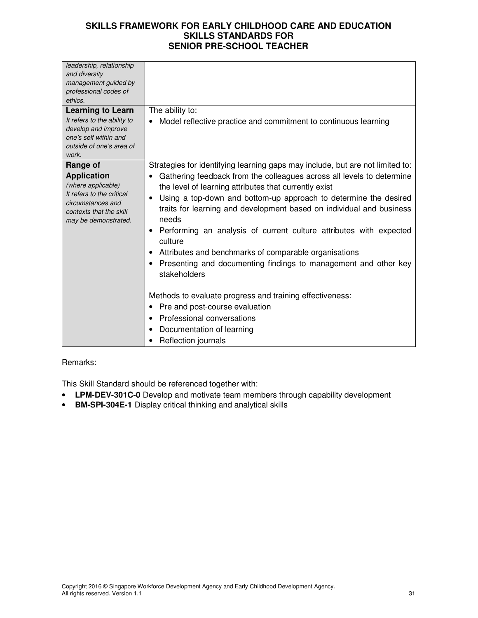| leadership, relationship<br>and diversity<br>management guided by<br>professional codes of<br>ethics.<br><b>Learning to Learn</b><br>It refers to the ability to<br>develop and improve<br>one's self within and<br>outside of one's area of<br>work. | The ability to:<br>Model reflective practice and commitment to continuous learning                                                                                                                                                                                                                                                                                                                                                                                                                                                                                                                                                                                                                                                                                                     |
|-------------------------------------------------------------------------------------------------------------------------------------------------------------------------------------------------------------------------------------------------------|----------------------------------------------------------------------------------------------------------------------------------------------------------------------------------------------------------------------------------------------------------------------------------------------------------------------------------------------------------------------------------------------------------------------------------------------------------------------------------------------------------------------------------------------------------------------------------------------------------------------------------------------------------------------------------------------------------------------------------------------------------------------------------------|
| Range of<br><b>Application</b><br>(where applicable)<br>It refers to the critical<br>circumstances and<br>contexts that the skill<br>may be demonstrated.                                                                                             | Strategies for identifying learning gaps may include, but are not limited to:<br>Gathering feedback from the colleagues across all levels to determine<br>the level of learning attributes that currently exist<br>Using a top-down and bottom-up approach to determine the desired<br>٠<br>traits for learning and development based on individual and business<br>needs<br>Performing an analysis of current culture attributes with expected<br>culture<br>Attributes and benchmarks of comparable organisations<br>Presenting and documenting findings to management and other key<br>stakeholders<br>Methods to evaluate progress and training effectiveness:<br>Pre and post-course evaluation<br>Professional conversations<br>Documentation of learning<br>Reflection journals |

### Remarks:

This Skill Standard should be referenced together with:

- **LPM-DEV-301C-0** Develop and motivate team members through capability development
- **BM-SPI-304E-1** Display critical thinking and analytical skills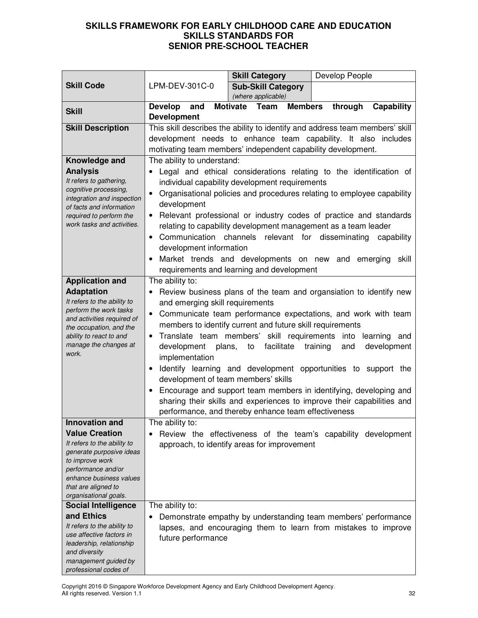|                                                                                                                                                                                                                            |                                                                                                                                                                                                                                                                                                                                                                                                                                                                                                                                                                                                                                                                                                                                                                  | <b>Skill Category</b>                                                                                                                                                                                                                                           | Develop People                                                                                                                                                                                                                                       |
|----------------------------------------------------------------------------------------------------------------------------------------------------------------------------------------------------------------------------|------------------------------------------------------------------------------------------------------------------------------------------------------------------------------------------------------------------------------------------------------------------------------------------------------------------------------------------------------------------------------------------------------------------------------------------------------------------------------------------------------------------------------------------------------------------------------------------------------------------------------------------------------------------------------------------------------------------------------------------------------------------|-----------------------------------------------------------------------------------------------------------------------------------------------------------------------------------------------------------------------------------------------------------------|------------------------------------------------------------------------------------------------------------------------------------------------------------------------------------------------------------------------------------------------------|
| <b>Skill Code</b>                                                                                                                                                                                                          | LPM-DEV-301C-0                                                                                                                                                                                                                                                                                                                                                                                                                                                                                                                                                                                                                                                                                                                                                   | <b>Sub-Skill Category</b><br>(where applicable)                                                                                                                                                                                                                 |                                                                                                                                                                                                                                                      |
|                                                                                                                                                                                                                            | <b>Develop</b><br>and                                                                                                                                                                                                                                                                                                                                                                                                                                                                                                                                                                                                                                                                                                                                            | Motivate Team<br><b>Members</b>                                                                                                                                                                                                                                 | through<br>Capability                                                                                                                                                                                                                                |
| <b>Skill</b>                                                                                                                                                                                                               | <b>Development</b>                                                                                                                                                                                                                                                                                                                                                                                                                                                                                                                                                                                                                                                                                                                                               |                                                                                                                                                                                                                                                                 |                                                                                                                                                                                                                                                      |
| <b>Skill Description</b>                                                                                                                                                                                                   |                                                                                                                                                                                                                                                                                                                                                                                                                                                                                                                                                                                                                                                                                                                                                                  | motivating team members' independent capability development.                                                                                                                                                                                                    | This skill describes the ability to identify and address team members' skill<br>development needs to enhance team capability. It also includes                                                                                                       |
| Knowledge and<br><b>Analysis</b><br>It refers to gathering,<br>cognitive processing,<br>integration and inspection<br>of facts and information<br>required to perform the<br>work tasks and activities.                    | The ability to understand:<br>development<br>$\bullet$<br>development information                                                                                                                                                                                                                                                                                                                                                                                                                                                                                                                                                                                                                                                                                | individual capability development requirements<br>relating to capability development management as a team leader<br>Communication channels relevant for disseminating<br>Market trends and developments on new and<br>requirements and learning and development | Legal and ethical considerations relating to the identification of<br>Organisational policies and procedures relating to employee capability<br>Relevant professional or industry codes of practice and standards<br>capability<br>emerging<br>skill |
| <b>Application and</b><br><b>Adaptation</b><br>It refers to the ability to<br>perform the work tasks<br>and activities required of<br>the occupation, and the<br>ability to react to and<br>manage the changes at<br>work. | The ability to:<br>Review business plans of the team and organsiation to identify new<br>and emerging skill requirements<br>Communicate team performance expectations, and work with team<br>members to identify current and future skill requirements<br>Translate team members' skill requirements into learning and<br>$\bullet$<br>facilitate<br>development<br>plans,<br>to<br>training<br>and<br>development<br>implementation<br>Identify learning and development opportunities to support the<br>$\bullet$<br>development of team members' skills<br>Encourage and support team members in identifying, developing and<br>sharing their skills and experiences to improve their capabilities and<br>performance, and thereby enhance team effectiveness |                                                                                                                                                                                                                                                                 |                                                                                                                                                                                                                                                      |
| <b>Innovation and</b>                                                                                                                                                                                                      | The ability to:                                                                                                                                                                                                                                                                                                                                                                                                                                                                                                                                                                                                                                                                                                                                                  |                                                                                                                                                                                                                                                                 |                                                                                                                                                                                                                                                      |
| <b>Value Creation</b><br>It refers to the ability to<br>generate purposive ideas<br>to improve work<br>performance and/or<br>enhance business values<br>that are aligned to<br>organisational goals.                       |                                                                                                                                                                                                                                                                                                                                                                                                                                                                                                                                                                                                                                                                                                                                                                  | approach, to identify areas for improvement                                                                                                                                                                                                                     | Review the effectiveness of the team's capability development                                                                                                                                                                                        |
| <b>Social Intelligence</b>                                                                                                                                                                                                 | The ability to:                                                                                                                                                                                                                                                                                                                                                                                                                                                                                                                                                                                                                                                                                                                                                  |                                                                                                                                                                                                                                                                 |                                                                                                                                                                                                                                                      |
| and Ethics<br>It refers to the ability to<br>use affective factors in<br>leadership, relationship<br>and diversity<br>management guided by<br>professional codes of                                                        | ٠<br>future performance                                                                                                                                                                                                                                                                                                                                                                                                                                                                                                                                                                                                                                                                                                                                          |                                                                                                                                                                                                                                                                 | Demonstrate empathy by understanding team members' performance<br>lapses, and encouraging them to learn from mistakes to improve                                                                                                                     |

Copyright 2016 © Singapore Workforce Development Agency and Early Childhood Development Agency. All rights reserved. Version 1.1 32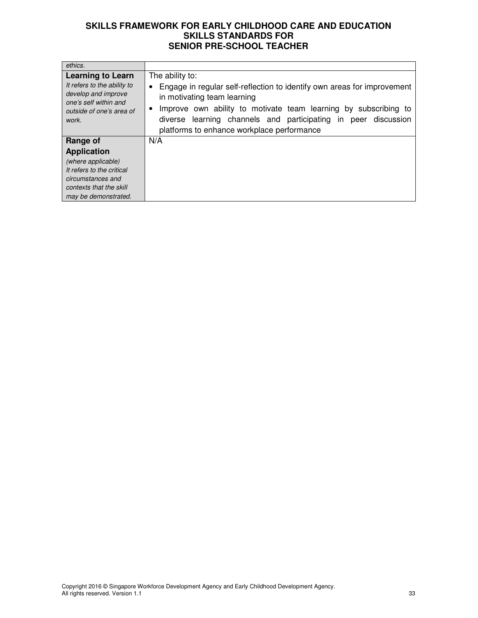| ethics.                                                                                                                                      |                                                                                                                                                                                                                                                                                                                 |
|----------------------------------------------------------------------------------------------------------------------------------------------|-----------------------------------------------------------------------------------------------------------------------------------------------------------------------------------------------------------------------------------------------------------------------------------------------------------------|
| <b>Learning to Learn</b><br>It refers to the ability to<br>develop and improve<br>one's self within and<br>outside of one's area of<br>work. | The ability to:<br>Engage in regular self-reflection to identify own areas for improvement<br>in motivating team learning<br>Improve own ability to motivate team learning by subscribing to<br>learning channels and participating in peer discussion<br>diverse<br>platforms to enhance workplace performance |
| Range of                                                                                                                                     | N/A                                                                                                                                                                                                                                                                                                             |
| <b>Application</b>                                                                                                                           |                                                                                                                                                                                                                                                                                                                 |
| (where applicable)                                                                                                                           |                                                                                                                                                                                                                                                                                                                 |
| It refers to the critical                                                                                                                    |                                                                                                                                                                                                                                                                                                                 |
| circumstances and                                                                                                                            |                                                                                                                                                                                                                                                                                                                 |
| contexts that the skill                                                                                                                      |                                                                                                                                                                                                                                                                                                                 |
| may be demonstrated.                                                                                                                         |                                                                                                                                                                                                                                                                                                                 |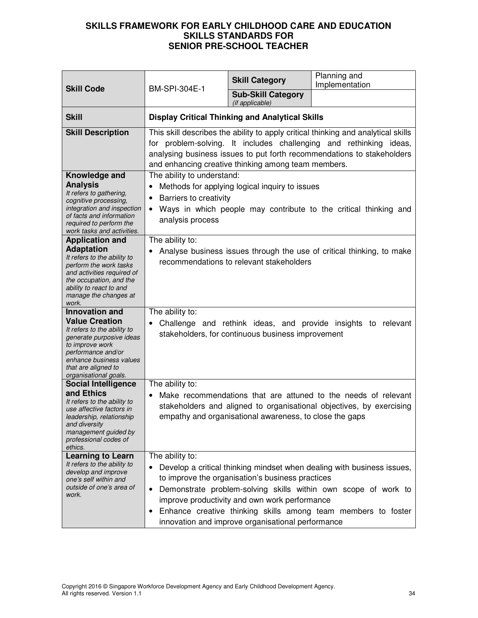| <b>Skill Code</b>                                                                                                                                                                                                             | BM-SPI-304E-1                                                                                                                                                                                                                                                                                                                                                                                            | <b>Skill Category</b>                                   | Planning and<br>Implementation                                                                                                         |
|-------------------------------------------------------------------------------------------------------------------------------------------------------------------------------------------------------------------------------|----------------------------------------------------------------------------------------------------------------------------------------------------------------------------------------------------------------------------------------------------------------------------------------------------------------------------------------------------------------------------------------------------------|---------------------------------------------------------|----------------------------------------------------------------------------------------------------------------------------------------|
|                                                                                                                                                                                                                               |                                                                                                                                                                                                                                                                                                                                                                                                          | <b>Sub-Skill Category</b><br>(if applicable)            |                                                                                                                                        |
| <b>Skill</b>                                                                                                                                                                                                                  |                                                                                                                                                                                                                                                                                                                                                                                                          | <b>Display Critical Thinking and Analytical Skills</b>  |                                                                                                                                        |
| <b>Skill Description</b>                                                                                                                                                                                                      | This skill describes the ability to apply critical thinking and analytical skills<br>for problem-solving. It includes challenging and rethinking ideas,<br>analysing business issues to put forth recommendations to stakeholders<br>and enhancing creative thinking among team members.                                                                                                                 |                                                         |                                                                                                                                        |
| Knowledge and<br><b>Analysis</b><br>It refers to gathering,<br>cognitive processing,<br>integration and inspection<br>of facts and information<br>required to perform the<br>work tasks and activities.                       | The ability to understand:<br>Methods for applying logical inquiry to issues<br>Barriers to creativity<br>$\bullet$<br>Ways in which people may contribute to the critical thinking and<br>$\bullet$<br>analysis process                                                                                                                                                                                 |                                                         |                                                                                                                                        |
| <b>Application and</b><br><b>Adaptation</b><br>It refers to the ability to<br>perform the work tasks<br>and activities required of<br>the occupation, and the<br>ability to react to and<br>manage the changes at<br>work.    | The ability to:<br>Analyse business issues through the use of critical thinking, to make<br>recommendations to relevant stakeholders                                                                                                                                                                                                                                                                     |                                                         |                                                                                                                                        |
| <b>Innovation and</b><br><b>Value Creation</b><br>It refers to the ability to<br>generate purposive ideas<br>to improve work<br>performance and/or<br>enhance business values<br>that are aligned to<br>organisational goals. | The ability to:<br>Challenge and rethink ideas, and provide insights to relevant<br>stakeholders, for continuous business improvement                                                                                                                                                                                                                                                                    |                                                         |                                                                                                                                        |
| <b>Social Intelligence</b><br>and Ethics<br>It refers to the ability to<br>use affective factors in<br>leadership, relationship<br>and diversity<br>management guided by<br>professional codes of<br>ethics.                  | The ability to:                                                                                                                                                                                                                                                                                                                                                                                          | empathy and organisational awareness, to close the gaps | Make recommendations that are attuned to the needs of relevant<br>stakeholders and aligned to organisational objectives, by exercising |
| <b>Learning to Learn</b><br>It refers to the ability to<br>develop and improve<br>one's self within and<br>outside of one's area of<br>work.                                                                                  | The ability to:<br>Develop a critical thinking mindset when dealing with business issues,<br>to improve the organisation's business practices<br>Demonstrate problem-solving skills within own scope of work to<br>٠<br>improve productivity and own work performance<br>Enhance creative thinking skills among team members to foster<br>$\bullet$<br>innovation and improve organisational performance |                                                         |                                                                                                                                        |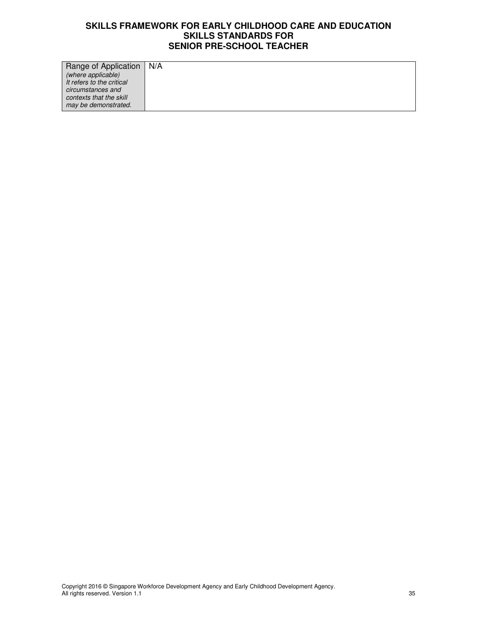| Range of Application   N/A |  |
|----------------------------|--|
| (where applicable)         |  |
| It refers to the critical  |  |
| circumstances and          |  |
| contexts that the skill    |  |
| may be demonstrated.       |  |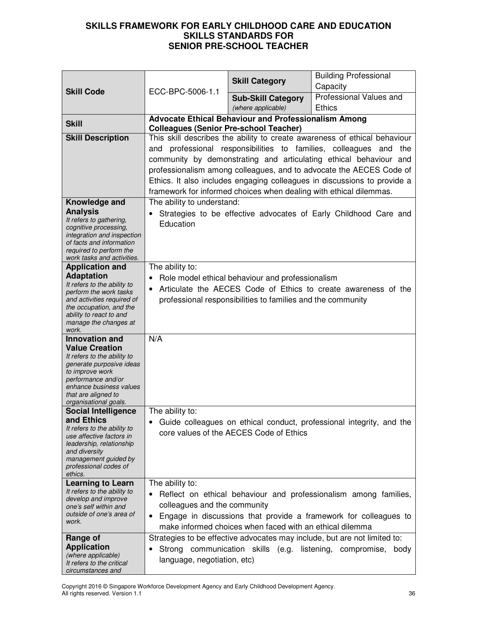|                                                        |                                                                                                                                 | <b>Skill Category</b>                                              | <b>Building Professional</b>                                              |
|--------------------------------------------------------|---------------------------------------------------------------------------------------------------------------------------------|--------------------------------------------------------------------|---------------------------------------------------------------------------|
| <b>Skill Code</b>                                      | ECC-BPC-5006-1.1                                                                                                                |                                                                    | Capacity                                                                  |
|                                                        |                                                                                                                                 | <b>Sub-Skill Category</b>                                          | Professional Values and                                                   |
|                                                        |                                                                                                                                 | (where applicable)                                                 | <b>Ethics</b>                                                             |
| <b>Skill</b>                                           | <b>Colleagues (Senior Pre-school Teacher)</b>                                                                                   | <b>Advocate Ethical Behaviour and Professionalism Among</b>        |                                                                           |
| <b>Skill Description</b>                               |                                                                                                                                 |                                                                    | This skill describes the ability to create awareness of ethical behaviour |
|                                                        | and                                                                                                                             |                                                                    | professional responsibilities to families, colleagues and<br>the          |
|                                                        |                                                                                                                                 |                                                                    | community by demonstrating and articulating ethical behaviour and         |
|                                                        |                                                                                                                                 |                                                                    | professionalism among colleagues, and to advocate the AECES Code of       |
|                                                        | Ethics. It also includes engaging colleagues in discussions to provide a                                                        |                                                                    |                                                                           |
|                                                        |                                                                                                                                 | framework for informed choices when dealing with ethical dilemmas. |                                                                           |
| Knowledge and                                          | The ability to understand:                                                                                                      |                                                                    |                                                                           |
| <b>Analysis</b><br>It refers to gathering,             |                                                                                                                                 |                                                                    | Strategies to be effective advocates of Early Childhood Care and          |
| cognitive processing,                                  | Education                                                                                                                       |                                                                    |                                                                           |
| integration and inspection<br>of facts and information |                                                                                                                                 |                                                                    |                                                                           |
| required to perform the                                |                                                                                                                                 |                                                                    |                                                                           |
| work tasks and activities.<br><b>Application and</b>   | The ability to:                                                                                                                 |                                                                    |                                                                           |
| <b>Adaptation</b>                                      | $\bullet$                                                                                                                       |                                                                    |                                                                           |
| It refers to the ability to                            | Role model ethical behaviour and professionalism<br>Articulate the AECES Code of Ethics to create awareness of the<br>$\bullet$ |                                                                    |                                                                           |
| perform the work tasks<br>and activities required of   | professional responsibilities to families and the community                                                                     |                                                                    |                                                                           |
| the occupation, and the<br>ability to react to and     |                                                                                                                                 |                                                                    |                                                                           |
| manage the changes at                                  |                                                                                                                                 |                                                                    |                                                                           |
| work.                                                  | N/A                                                                                                                             |                                                                    |                                                                           |
| <b>Innovation and</b><br><b>Value Creation</b>         |                                                                                                                                 |                                                                    |                                                                           |
| It refers to the ability to                            |                                                                                                                                 |                                                                    |                                                                           |
| generate purposive ideas<br>to improve work            |                                                                                                                                 |                                                                    |                                                                           |
| performance and/or                                     |                                                                                                                                 |                                                                    |                                                                           |
| enhance business values<br>that are aligned to         |                                                                                                                                 |                                                                    |                                                                           |
| organisational goals.                                  |                                                                                                                                 |                                                                    |                                                                           |
| <b>Social Intelligence</b><br>and Ethics               | The ability to:                                                                                                                 |                                                                    |                                                                           |
| It refers to the ability to                            |                                                                                                                                 |                                                                    | Guide colleagues on ethical conduct, professional integrity, and the      |
| use affective factors in                               |                                                                                                                                 | core values of the AECES Code of Ethics                            |                                                                           |
| leadership, relationship<br>and diversity              |                                                                                                                                 |                                                                    |                                                                           |
| management guided by<br>professional codes of          |                                                                                                                                 |                                                                    |                                                                           |
| ethics.                                                |                                                                                                                                 |                                                                    |                                                                           |
| <b>Learning to Learn</b>                               | The ability to:                                                                                                                 |                                                                    |                                                                           |
| It refers to the ability to<br>develop and improve     | ٠                                                                                                                               |                                                                    | Reflect on ethical behaviour and professionalism among families,          |
| one's self within and                                  | colleagues and the community                                                                                                    |                                                                    |                                                                           |
| outside of one's area of<br>work.                      | ٠                                                                                                                               |                                                                    | Engage in discussions that provide a framework for colleagues to          |
|                                                        |                                                                                                                                 | make informed choices when faced with an ethical dilemma           |                                                                           |
| Range of<br><b>Application</b>                         |                                                                                                                                 |                                                                    | Strategies to be effective advocates may include, but are not limited to: |
| (where applicable)                                     |                                                                                                                                 |                                                                    | Strong communication skills (e.g. listening, compromise, body             |
| It refers to the critical<br>circumstances and         | language, negotiation, etc)                                                                                                     |                                                                    |                                                                           |
|                                                        |                                                                                                                                 |                                                                    |                                                                           |

Copyright 2016 © Singapore Workforce Development Agency and Early Childhood Development Agency. All rights reserved. Version 1.1 36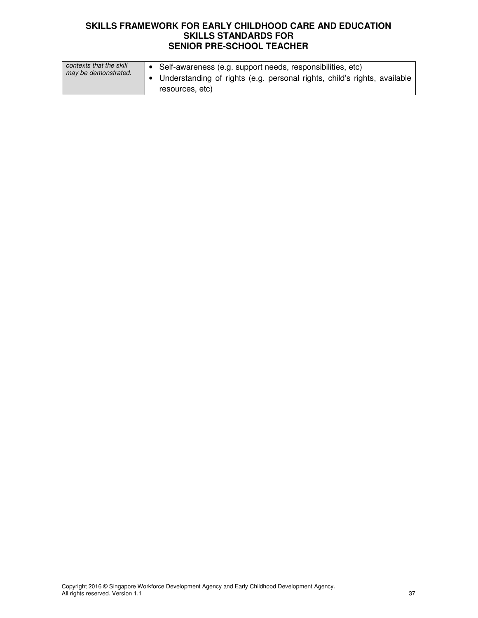| contexts that the skill<br>may be demonstrated. | ● Self-awareness (e.g. support needs, responsibilities, etc)             |
|-------------------------------------------------|--------------------------------------------------------------------------|
|                                                 | Understanding of rights (e.g. personal rights, child's rights, available |
|                                                 | resources, etc)                                                          |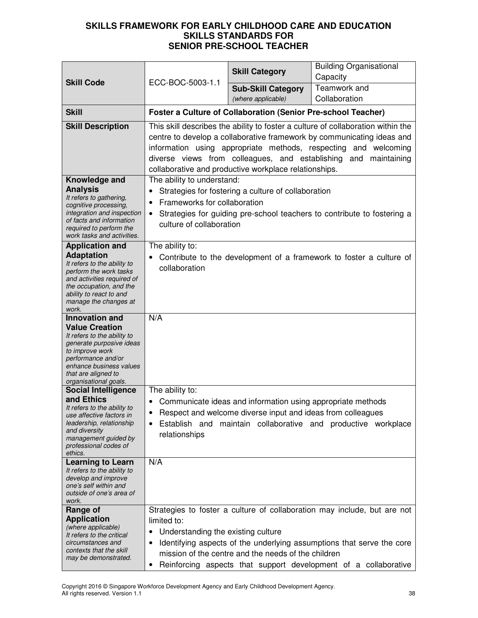|                                                                                                                                                                                                                               |                                                                                                                                                                                                                                                                                                                                                           | <b>Skill Category</b>                                                                                                      | <b>Building Organisational</b><br>Capacity                                                                                                                                                                           |
|-------------------------------------------------------------------------------------------------------------------------------------------------------------------------------------------------------------------------------|-----------------------------------------------------------------------------------------------------------------------------------------------------------------------------------------------------------------------------------------------------------------------------------------------------------------------------------------------------------|----------------------------------------------------------------------------------------------------------------------------|----------------------------------------------------------------------------------------------------------------------------------------------------------------------------------------------------------------------|
| <b>Skill Code</b>                                                                                                                                                                                                             | ECC-BOC-5003-1.1                                                                                                                                                                                                                                                                                                                                          | <b>Sub-Skill Category</b><br>(where applicable)                                                                            | Teamwork and<br>Collaboration                                                                                                                                                                                        |
| <b>Skill</b>                                                                                                                                                                                                                  |                                                                                                                                                                                                                                                                                                                                                           | <b>Foster a Culture of Collaboration (Senior Pre-school Teacher)</b>                                                       |                                                                                                                                                                                                                      |
| <b>Skill Description</b>                                                                                                                                                                                                      | This skill describes the ability to foster a culture of collaboration within the<br>centre to develop a collaborative framework by communicating ideas and<br>information using appropriate methods, respecting and welcoming<br>diverse views from colleagues, and establishing and maintaining<br>collaborative and productive workplace relationships. |                                                                                                                            |                                                                                                                                                                                                                      |
| Knowledge and<br><b>Analysis</b><br>It refers to gathering,<br>cognitive processing,<br>integration and inspection<br>of facts and information<br>required to perform the<br>work tasks and activities.                       | The ability to understand:<br>$\bullet$<br>Frameworks for collaboration<br>$\bullet$<br>$\bullet$<br>culture of collaboration                                                                                                                                                                                                                             | Strategies for fostering a culture of collaboration                                                                        | Strategies for guiding pre-school teachers to contribute to fostering a                                                                                                                                              |
| <b>Application and</b><br><b>Adaptation</b><br>It refers to the ability to<br>perform the work tasks<br>and activities required of<br>the occupation, and the<br>ability to react to and<br>manage the changes at<br>work.    | The ability to:<br>collaboration                                                                                                                                                                                                                                                                                                                          |                                                                                                                            | Contribute to the development of a framework to foster a culture of                                                                                                                                                  |
| <b>Innovation and</b><br><b>Value Creation</b><br>It refers to the ability to<br>generate purposive ideas<br>to improve work<br>performance and/or<br>enhance business values<br>that are aligned to<br>organisational goals. | N/A                                                                                                                                                                                                                                                                                                                                                       |                                                                                                                            |                                                                                                                                                                                                                      |
| <b>Social Intelligence</b><br>and Ethics<br>It refers to the ability to<br>use affective factors in<br>leadership, relationship<br>and diversity<br>management guided by<br>professional codes of<br>ethics.                  | The ability to:<br>Establish and<br>relationships                                                                                                                                                                                                                                                                                                         | Communicate ideas and information using appropriate methods<br>Respect and welcome diverse input and ideas from colleagues | maintain collaborative and productive workplace                                                                                                                                                                      |
| <b>Learning to Learn</b><br>It refers to the ability to<br>develop and improve<br>one's self within and<br>outside of one's area of<br>work.                                                                                  | N/A                                                                                                                                                                                                                                                                                                                                                       |                                                                                                                            |                                                                                                                                                                                                                      |
| Range of<br><b>Application</b><br>(where applicable)<br>It refers to the critical<br>circumstances and<br>contexts that the skill<br>may be demonstrated.                                                                     | limited to:<br>Understanding the existing culture<br>٠<br>$\bullet$                                                                                                                                                                                                                                                                                       | mission of the centre and the needs of the children                                                                        | Strategies to foster a culture of collaboration may include, but are not<br>Identifying aspects of the underlying assumptions that serve the core<br>Reinforcing aspects that support development of a collaborative |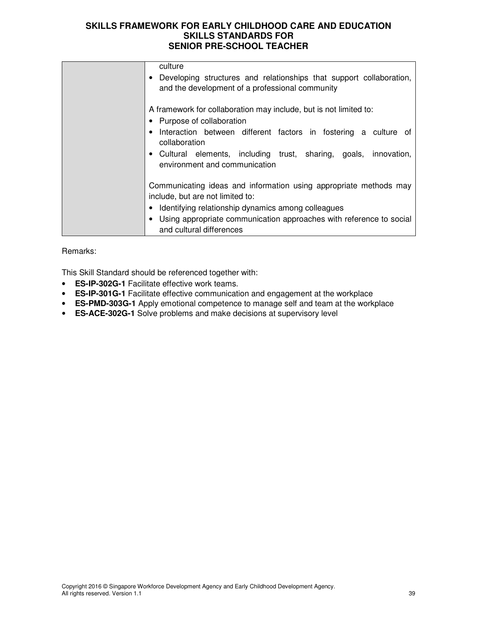| culture                                                             |
|---------------------------------------------------------------------|
|                                                                     |
| Developing structures and relationships that support collaboration, |
| and the development of a professional community                     |
|                                                                     |
|                                                                     |
| A framework for collaboration may include, but is not limited to:   |
| • Purpose of collaboration                                          |
| Interaction between different factors in fostering a culture of     |
| collaboration                                                       |
|                                                                     |
| • Cultural elements, including trust, sharing, goals, innovation,   |
| environment and communication                                       |
|                                                                     |
|                                                                     |
| Communicating ideas and information using appropriate methods may   |
| include, but are not limited to:                                    |
| • Identifying relationship dynamics among colleagues                |
|                                                                     |
| Using appropriate communication approaches with reference to social |
| and cultural differences                                            |
|                                                                     |

#### Remarks:

This Skill Standard should be referenced together with:

- **ES-IP-302G-1** Facilitate effective work teams.
- **ES-IP-301G-1** Facilitate effective communication and engagement at the workplace
- **ES-PMD-303G-1** Apply emotional competence to manage self and team at the workplace
- **ES-ACE-302G-1** Solve problems and make decisions at supervisory level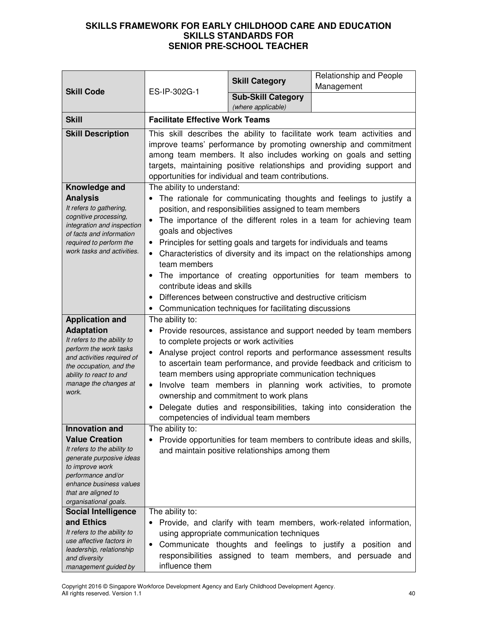|                                                                                                                                                                                                         |                                                                                                                                                                                                                                                                                                                                                   | <b>Skill Category</b>                                                                                                                                                                                                                                  | Relationship and People                                                                                                                                                                                                                                                                                                                               |
|---------------------------------------------------------------------------------------------------------------------------------------------------------------------------------------------------------|---------------------------------------------------------------------------------------------------------------------------------------------------------------------------------------------------------------------------------------------------------------------------------------------------------------------------------------------------|--------------------------------------------------------------------------------------------------------------------------------------------------------------------------------------------------------------------------------------------------------|-------------------------------------------------------------------------------------------------------------------------------------------------------------------------------------------------------------------------------------------------------------------------------------------------------------------------------------------------------|
| <b>Skill Code</b>                                                                                                                                                                                       | ES-IP-302G-1                                                                                                                                                                                                                                                                                                                                      |                                                                                                                                                                                                                                                        | Management                                                                                                                                                                                                                                                                                                                                            |
|                                                                                                                                                                                                         |                                                                                                                                                                                                                                                                                                                                                   | <b>Sub-Skill Category</b><br>(where applicable)                                                                                                                                                                                                        |                                                                                                                                                                                                                                                                                                                                                       |
| <b>Skill</b>                                                                                                                                                                                            | <b>Facilitate Effective Work Teams</b>                                                                                                                                                                                                                                                                                                            |                                                                                                                                                                                                                                                        |                                                                                                                                                                                                                                                                                                                                                       |
| <b>Skill Description</b>                                                                                                                                                                                | This skill describes the ability to facilitate work team activities and<br>improve teams' performance by promoting ownership and commitment<br>among team members. It also includes working on goals and setting<br>targets, maintaining positive relationships and providing support and<br>opportunities for individual and team contributions. |                                                                                                                                                                                                                                                        |                                                                                                                                                                                                                                                                                                                                                       |
| Knowledge and<br><b>Analysis</b><br>It refers to gathering,<br>cognitive processing,<br>integration and inspection<br>of facts and information<br>required to perform the<br>work tasks and activities. | The ability to understand:<br>$\bullet$<br>goals and objectives<br>$\bullet$<br>team members<br>٠<br>contribute ideas and skills<br>$\bullet$                                                                                                                                                                                                     | position, and responsibilities assigned to team members<br>Principles for setting goals and targets for individuals and teams<br>Differences between constructive and destructive criticism<br>• Communication techniques for facilitating discussions | The rationale for communicating thoughts and feelings to justify a<br>The importance of the different roles in a team for achieving team<br>Characteristics of diversity and its impact on the relationships among<br>The importance of creating opportunities for team members to                                                                    |
| <b>Application and</b>                                                                                                                                                                                  | The ability to:                                                                                                                                                                                                                                                                                                                                   |                                                                                                                                                                                                                                                        |                                                                                                                                                                                                                                                                                                                                                       |
| <b>Adaptation</b><br>It refers to the ability to<br>perform the work tasks<br>and activities required of<br>the occupation, and the<br>ability to react to and<br>manage the changes at<br>work.        | to complete projects or work activities<br>$\bullet$<br>$\bullet$<br>$\bullet$                                                                                                                                                                                                                                                                    | team members using appropriate communication techniques<br>ownership and commitment to work plans<br>competencies of individual team members                                                                                                           | Provide resources, assistance and support needed by team members<br>Analyse project control reports and performance assessment results<br>to ascertain team performance, and provide feedback and criticism to<br>Involve team members in planning work activities, to promote<br>Delegate duties and responsibilities, taking into consideration the |
| <b>Innovation and</b>                                                                                                                                                                                   | The ability to:                                                                                                                                                                                                                                                                                                                                   |                                                                                                                                                                                                                                                        |                                                                                                                                                                                                                                                                                                                                                       |
| <b>Value Creation</b><br>It refers to the ability to<br>generate purposive ideas<br>to improve work<br>performance and/or<br>enhance business values<br>that are aligned to<br>organisational goals.    |                                                                                                                                                                                                                                                                                                                                                   | and maintain positive relationships among them                                                                                                                                                                                                         | Provide opportunities for team members to contribute ideas and skills,                                                                                                                                                                                                                                                                                |
| <b>Social Intelligence</b>                                                                                                                                                                              | The ability to:                                                                                                                                                                                                                                                                                                                                   |                                                                                                                                                                                                                                                        |                                                                                                                                                                                                                                                                                                                                                       |
| and Ethics<br>It refers to the ability to<br>use affective factors in<br>leadership, relationship<br>and diversity<br>management guided by                                                              | $\bullet$<br>٠<br>influence them                                                                                                                                                                                                                                                                                                                  | using appropriate communication techniques<br>Communicate thoughts and feelings to justify a position<br>responsibilities assigned to team members, and persuade                                                                                       | Provide, and clarify with team members, work-related information,<br>and<br>and                                                                                                                                                                                                                                                                       |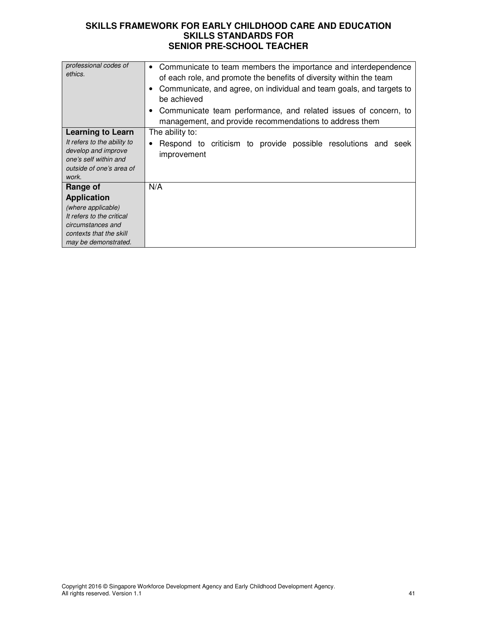| professional codes of<br>ethics.                                                                                                                          | Communicate to team members the importance and interdependence<br>$\bullet$<br>of each role, and promote the benefits of diversity within the team<br>Communicate, and agree, on individual and team goals, and targets to<br>be achieved<br>Communicate team performance, and related issues of concern, to<br>management, and provide recommendations to address them |
|-----------------------------------------------------------------------------------------------------------------------------------------------------------|-------------------------------------------------------------------------------------------------------------------------------------------------------------------------------------------------------------------------------------------------------------------------------------------------------------------------------------------------------------------------|
| <b>Learning to Learn</b><br>It refers to the ability to<br>develop and improve<br>one's self within and<br>outside of one's area of<br>work.              | The ability to:<br>Respond to criticism to provide possible resolutions and seek<br>improvement                                                                                                                                                                                                                                                                         |
| Range of<br><b>Application</b><br>(where applicable)<br>It refers to the critical<br>circumstances and<br>contexts that the skill<br>may be demonstrated. | N/A                                                                                                                                                                                                                                                                                                                                                                     |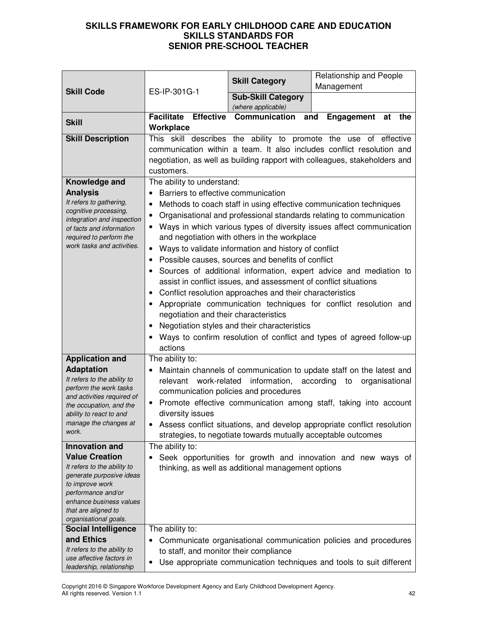|                                                     |                                                                                      |                                                      | Relationship and People                                                    |
|-----------------------------------------------------|--------------------------------------------------------------------------------------|------------------------------------------------------|----------------------------------------------------------------------------|
|                                                     |                                                                                      | <b>Skill Category</b>                                | Management                                                                 |
| <b>Skill Code</b>                                   | ES-IP-301G-1                                                                         | <b>Sub-Skill Category</b>                            |                                                                            |
|                                                     |                                                                                      | (where applicable)                                   |                                                                            |
| <b>Skill</b>                                        | <b>Effective</b><br><b>Facilitate</b>                                                | Communication                                        | and<br>Engagement<br>at<br>the                                             |
|                                                     | Workplace                                                                            |                                                      |                                                                            |
| <b>Skill Description</b>                            |                                                                                      |                                                      | This skill describes the ability to promote the use of effective           |
|                                                     |                                                                                      |                                                      | communication within a team. It also includes conflict resolution and      |
|                                                     |                                                                                      |                                                      | negotiation, as well as building rapport with colleagues, stakeholders and |
|                                                     | customers.                                                                           |                                                      |                                                                            |
| Knowledge and                                       | The ability to understand:                                                           |                                                      |                                                                            |
| <b>Analysis</b>                                     | Barriers to effective communication                                                  |                                                      |                                                                            |
| It refers to gathering,                             | $\bullet$                                                                            |                                                      | Methods to coach staff in using effective communication techniques         |
| cognitive processing,<br>integration and inspection |                                                                                      |                                                      | Organisational and professional standards relating to communication        |
| of facts and information                            |                                                                                      |                                                      | Ways in which various types of diversity issues affect communication       |
| required to perform the                             |                                                                                      | and negotiation with others in the workplace         |                                                                            |
| work tasks and activities.                          |                                                                                      | Ways to validate information and history of conflict |                                                                            |
|                                                     | ٠                                                                                    | Possible causes, sources and benefits of conflict    |                                                                            |
|                                                     |                                                                                      |                                                      | Sources of additional information, expert advice and mediation to          |
|                                                     | assist in conflict issues, and assessment of conflict situations                     |                                                      |                                                                            |
|                                                     | Conflict resolution approaches and their characteristics                             |                                                      |                                                                            |
|                                                     | Appropriate communication techniques for conflict resolution and                     |                                                      |                                                                            |
|                                                     | negotiation and their characteristics                                                |                                                      |                                                                            |
|                                                     | Negotiation styles and their characteristics<br>$\bullet$                            |                                                      |                                                                            |
|                                                     | Ways to confirm resolution of conflict and types of agreed follow-up                 |                                                      |                                                                            |
|                                                     | actions                                                                              |                                                      |                                                                            |
| <b>Application and</b>                              | The ability to:                                                                      |                                                      |                                                                            |
| <b>Adaptation</b>                                   |                                                                                      |                                                      | Maintain channels of communication to update staff on the latest and       |
| It refers to the ability to                         | work-related<br>relevant                                                             | information, according                               | organisational<br>to                                                       |
| perform the work tasks                              |                                                                                      | communication policies and procedures                |                                                                            |
| and activities required of                          |                                                                                      |                                                      |                                                                            |
| the occupation, and the                             | Promote effective communication among staff, taking into account<br>diversity issues |                                                      |                                                                            |
| ability to react to and<br>manage the changes at    | Assess conflict situations, and develop appropriate conflict resolution              |                                                      |                                                                            |
| work.                                               | strategies, to negotiate towards mutually acceptable outcomes                        |                                                      |                                                                            |
|                                                     |                                                                                      |                                                      |                                                                            |
| <b>Innovation and</b><br><b>Value Creation</b>      | The ability to:                                                                      |                                                      |                                                                            |
| It refers to the ability to                         |                                                                                      |                                                      | Seek opportunities for growth and innovation and new ways of               |
| generate purposive ideas                            | thinking, as well as additional management options                                   |                                                      |                                                                            |
| to improve work                                     |                                                                                      |                                                      |                                                                            |
| performance and/or                                  |                                                                                      |                                                      |                                                                            |
| enhance business values                             |                                                                                      |                                                      |                                                                            |
| that are aligned to<br>organisational goals.        |                                                                                      |                                                      |                                                                            |
| <b>Social Intelligence</b>                          | The ability to:                                                                      |                                                      |                                                                            |
| and Ethics                                          |                                                                                      |                                                      | Communicate organisational communication policies and procedures           |
| It refers to the ability to                         |                                                                                      | to staff, and monitor their compliance               |                                                                            |
| use affective factors in                            |                                                                                      |                                                      |                                                                            |
| leadership, relationship                            | ٠                                                                                    |                                                      | Use appropriate communication techniques and tools to suit different       |

Copyright 2016 © Singapore Workforce Development Agency and Early Childhood Development Agency. All rights reserved. Version 1.1 42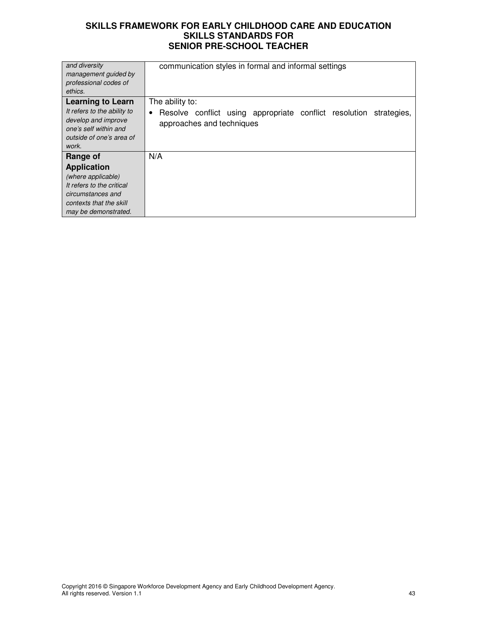| and diversity<br>management guided by<br>professional codes of<br>ethics.                                                                                 | communication styles in formal and informal settings                                                                       |
|-----------------------------------------------------------------------------------------------------------------------------------------------------------|----------------------------------------------------------------------------------------------------------------------------|
| <b>Learning to Learn</b><br>It refers to the ability to<br>develop and improve<br>one's self within and<br>outside of one's area of<br>work.              | The ability to:<br>Resolve conflict using appropriate conflict resolution<br>strategies,<br>٠<br>approaches and techniques |
| Range of<br><b>Application</b><br>(where applicable)<br>It refers to the critical<br>circumstances and<br>contexts that the skill<br>may be demonstrated. | N/A                                                                                                                        |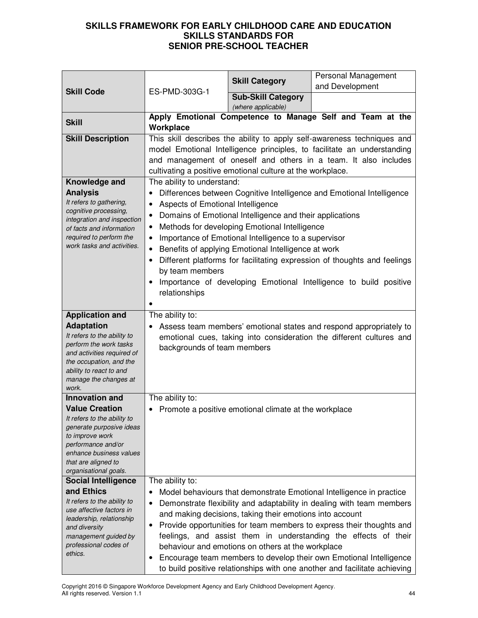|                                                                                                                                                                                                                                     |                                                                                                                                 | <b>Skill Category</b>                                                                                                                                                                                                                                                                  | Personal Management                                                                                                                                                                                                                                                                                                                                                                                                                              |
|-------------------------------------------------------------------------------------------------------------------------------------------------------------------------------------------------------------------------------------|---------------------------------------------------------------------------------------------------------------------------------|----------------------------------------------------------------------------------------------------------------------------------------------------------------------------------------------------------------------------------------------------------------------------------------|--------------------------------------------------------------------------------------------------------------------------------------------------------------------------------------------------------------------------------------------------------------------------------------------------------------------------------------------------------------------------------------------------------------------------------------------------|
| <b>Skill Code</b>                                                                                                                                                                                                                   | ES-PMD-303G-1                                                                                                                   |                                                                                                                                                                                                                                                                                        | and Development                                                                                                                                                                                                                                                                                                                                                                                                                                  |
|                                                                                                                                                                                                                                     |                                                                                                                                 | <b>Sub-Skill Category</b><br>(where applicable)                                                                                                                                                                                                                                        |                                                                                                                                                                                                                                                                                                                                                                                                                                                  |
| <b>Skill</b>                                                                                                                                                                                                                        | Apply Emotional Competence to Manage Self and Team at the<br>Workplace                                                          |                                                                                                                                                                                                                                                                                        |                                                                                                                                                                                                                                                                                                                                                                                                                                                  |
| <b>Skill Description</b><br>Knowledge and<br><b>Analysis</b><br>It refers to gathering,<br>cognitive processing,<br>integration and inspection<br>of facts and information<br>required to perform the<br>work tasks and activities. | The ability to understand:<br>Aspects of Emotional Intelligence<br>٠<br>٠<br>$\bullet$<br>٠<br>by team members<br>relationships | cultivating a positive emotional culture at the workplace.<br>Domains of Emotional Intelligence and their applications<br>Methods for developing Emotional Intelligence<br>Importance of Emotional Intelligence to a supervisor<br>Benefits of applying Emotional Intelligence at work | This skill describes the ability to apply self-awareness techniques and<br>model Emotional Intelligence principles, to facilitate an understanding<br>and management of oneself and others in a team. It also includes<br>Differences between Cognitive Intelligence and Emotional Intelligence<br>Different platforms for facilitating expression of thoughts and feelings<br>Importance of developing Emotional Intelligence to build positive |
| <b>Application and</b>                                                                                                                                                                                                              | The ability to:                                                                                                                 |                                                                                                                                                                                                                                                                                        |                                                                                                                                                                                                                                                                                                                                                                                                                                                  |
| <b>Adaptation</b><br>It refers to the ability to<br>perform the work tasks<br>and activities required of<br>the occupation, and the<br>ability to react to and<br>manage the changes at<br>work.                                    | backgrounds of team members                                                                                                     |                                                                                                                                                                                                                                                                                        | Assess team members' emotional states and respond appropriately to<br>emotional cues, taking into consideration the different cultures and                                                                                                                                                                                                                                                                                                       |
| <b>Innovation and</b>                                                                                                                                                                                                               | The ability to:                                                                                                                 |                                                                                                                                                                                                                                                                                        |                                                                                                                                                                                                                                                                                                                                                                                                                                                  |
| <b>Value Creation</b><br>It refers to the ability to<br>generate purposive ideas<br>to improve work<br>performance and/or<br>enhance business values<br>that are aligned to<br>organisational goals.                                |                                                                                                                                 | • Promote a positive emotional climate at the workplace                                                                                                                                                                                                                                |                                                                                                                                                                                                                                                                                                                                                                                                                                                  |
| <b>Social Intelligence</b>                                                                                                                                                                                                          | The ability to:                                                                                                                 |                                                                                                                                                                                                                                                                                        |                                                                                                                                                                                                                                                                                                                                                                                                                                                  |
| and Ethics<br>It refers to the ability to<br>use affective factors in<br>leadership, relationship<br>and diversity<br>management guided by<br>professional codes of<br>ethics.                                                      | ٠<br>٠                                                                                                                          | and making decisions, taking their emotions into account<br>behaviour and emotions on others at the workplace                                                                                                                                                                          | Model behaviours that demonstrate Emotional Intelligence in practice<br>Demonstrate flexibility and adaptability in dealing with team members<br>Provide opportunities for team members to express their thoughts and<br>feelings, and assist them in understanding the effects of their<br>Encourage team members to develop their own Emotional Intelligence<br>to build positive relationships with one another and facilitate achieving      |

Copyright 2016 © Singapore Workforce Development Agency and Early Childhood Development Agency. All rights reserved. Version 1.1 44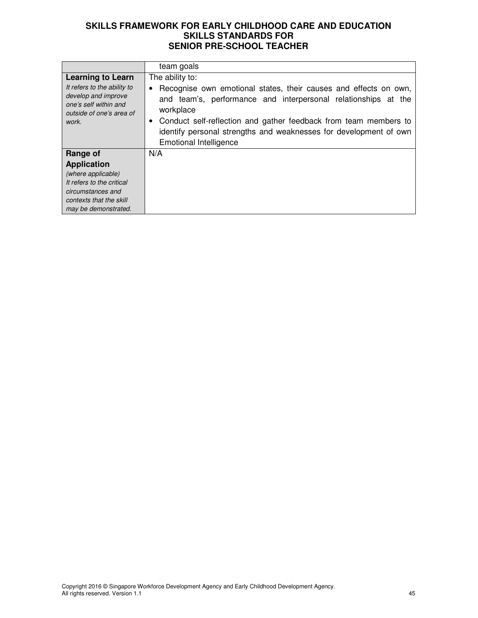|                                                                                                                                              | team goals                                                                                                                                                                                                                                                                                                                                   |
|----------------------------------------------------------------------------------------------------------------------------------------------|----------------------------------------------------------------------------------------------------------------------------------------------------------------------------------------------------------------------------------------------------------------------------------------------------------------------------------------------|
| <b>Learning to Learn</b><br>It refers to the ability to<br>develop and improve<br>one's self within and<br>outside of one's area of<br>work. | The ability to:<br>Recognise own emotional states, their causes and effects on own,<br>and team's, performance and interpersonal relationships at the<br>workplace<br>Conduct self-reflection and gather feedback from team members to<br>identify personal strengths and weaknesses for development of own<br><b>Emotional Intelligence</b> |
| Range of                                                                                                                                     | N/A                                                                                                                                                                                                                                                                                                                                          |
| <b>Application</b>                                                                                                                           |                                                                                                                                                                                                                                                                                                                                              |
| (where applicable)                                                                                                                           |                                                                                                                                                                                                                                                                                                                                              |
| It refers to the critical                                                                                                                    |                                                                                                                                                                                                                                                                                                                                              |
| circumstances and                                                                                                                            |                                                                                                                                                                                                                                                                                                                                              |
| contexts that the skill                                                                                                                      |                                                                                                                                                                                                                                                                                                                                              |
| may be demonstrated.                                                                                                                         |                                                                                                                                                                                                                                                                                                                                              |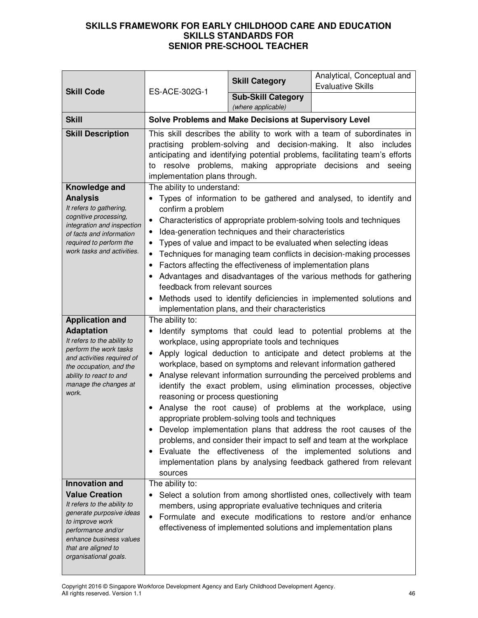| <b>Skill Code</b>                                                                                                                                                                                                             | ES-ACE-302G-1                                                                                                                                                                                                                                                                                                                                                                                                                                                                                                                                                                                                                                                                                                                                                                                                                                                          | <b>Skill Category</b>                                                                                                                                                                                                                    | Analytical, Conceptual and<br><b>Evaluative Skills</b>                                                                                                                                                                                                                                                                                                       |
|-------------------------------------------------------------------------------------------------------------------------------------------------------------------------------------------------------------------------------|------------------------------------------------------------------------------------------------------------------------------------------------------------------------------------------------------------------------------------------------------------------------------------------------------------------------------------------------------------------------------------------------------------------------------------------------------------------------------------------------------------------------------------------------------------------------------------------------------------------------------------------------------------------------------------------------------------------------------------------------------------------------------------------------------------------------------------------------------------------------|------------------------------------------------------------------------------------------------------------------------------------------------------------------------------------------------------------------------------------------|--------------------------------------------------------------------------------------------------------------------------------------------------------------------------------------------------------------------------------------------------------------------------------------------------------------------------------------------------------------|
|                                                                                                                                                                                                                               |                                                                                                                                                                                                                                                                                                                                                                                                                                                                                                                                                                                                                                                                                                                                                                                                                                                                        | <b>Sub-Skill Category</b><br>(where applicable)                                                                                                                                                                                          |                                                                                                                                                                                                                                                                                                                                                              |
| <b>Skill</b>                                                                                                                                                                                                                  |                                                                                                                                                                                                                                                                                                                                                                                                                                                                                                                                                                                                                                                                                                                                                                                                                                                                        | Solve Problems and Make Decisions at Supervisory Level                                                                                                                                                                                   |                                                                                                                                                                                                                                                                                                                                                              |
| <b>Skill Description</b>                                                                                                                                                                                                      | This skill describes the ability to work with a team of subordinates in<br>practising problem-solving and decision-making. It also<br>includes<br>anticipating and identifying potential problems, facilitating team's efforts<br>resolve problems, making appropriate decisions<br>and<br>seeing<br>to<br>implementation plans through.                                                                                                                                                                                                                                                                                                                                                                                                                                                                                                                               |                                                                                                                                                                                                                                          |                                                                                                                                                                                                                                                                                                                                                              |
| Knowledge and<br><b>Analysis</b><br>It refers to gathering,<br>cognitive processing,<br>integration and inspection<br>of facts and information<br>required to perform the<br>work tasks and activities.                       | The ability to understand:<br>confirm a problem<br>٠<br>feedback from relevant sources                                                                                                                                                                                                                                                                                                                                                                                                                                                                                                                                                                                                                                                                                                                                                                                 | Idea-generation techniques and their characteristics<br>Types of value and impact to be evaluated when selecting ideas<br>Factors affecting the effectiveness of implementation plans<br>implementation plans, and their characteristics | • Types of information to be gathered and analysed, to identify and<br>Characteristics of appropriate problem-solving tools and techniques<br>Techniques for managing team conflicts in decision-making processes<br>Advantages and disadvantages of the various methods for gathering<br>Methods used to identify deficiencies in implemented solutions and |
| <b>Application and</b>                                                                                                                                                                                                        | The ability to:                                                                                                                                                                                                                                                                                                                                                                                                                                                                                                                                                                                                                                                                                                                                                                                                                                                        |                                                                                                                                                                                                                                          |                                                                                                                                                                                                                                                                                                                                                              |
| <b>Adaptation</b><br>It refers to the ability to<br>perform the work tasks<br>and activities required of<br>the occupation, and the<br>ability to react to and<br>manage the changes at<br>work.                              | Identify symptoms that could lead to potential problems at the<br>workplace, using appropriate tools and techniques<br>Apply logical deduction to anticipate and detect problems at the<br>workplace, based on symptoms and relevant information gathered<br>Analyse relevant information surrounding the perceived problems and<br>identify the exact problem, using elimination processes, objective<br>reasoning or process questioning<br>Analyse the root cause) of problems at the workplace, using<br>appropriate problem-solving tools and techniques<br>Develop implementation plans that address the root causes of the<br>problems, and consider their impact to self and team at the workplace<br>Evaluate the effectiveness of the implemented solutions and<br>$\bullet$<br>implementation plans by analysing feedback gathered from relevant<br>sources |                                                                                                                                                                                                                                          |                                                                                                                                                                                                                                                                                                                                                              |
| <b>Innovation and</b><br><b>Value Creation</b><br>It refers to the ability to<br>generate purposive ideas<br>to improve work<br>performance and/or<br>enhance business values<br>that are aligned to<br>organisational goals. | The ability to:                                                                                                                                                                                                                                                                                                                                                                                                                                                                                                                                                                                                                                                                                                                                                                                                                                                        | members, using appropriate evaluative techniques and criteria                                                                                                                                                                            | Select a solution from among shortlisted ones, collectively with team<br>Formulate and execute modifications to restore and/or enhance<br>effectiveness of implemented solutions and implementation plans                                                                                                                                                    |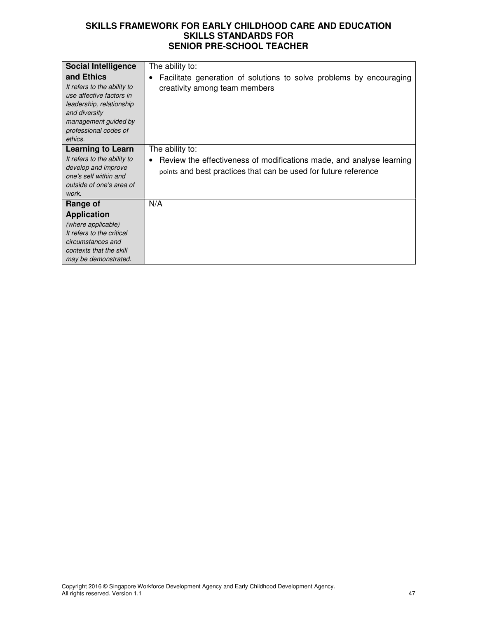| <b>Social Intelligence</b>                                                                                                                                                     | The ability to:                                                                                                                                      |
|--------------------------------------------------------------------------------------------------------------------------------------------------------------------------------|------------------------------------------------------------------------------------------------------------------------------------------------------|
| and Ethics<br>It refers to the ability to<br>use affective factors in<br>leadership, relationship<br>and diversity<br>management guided by<br>professional codes of<br>ethics. | Facilitate generation of solutions to solve problems by encouraging<br>creativity among team members                                                 |
| <b>Learning to Learn</b>                                                                                                                                                       | The ability to:                                                                                                                                      |
| It refers to the ability to<br>develop and improve<br>one's self within and<br>outside of one's area of<br>work.                                                               | Review the effectiveness of modifications made, and analyse learning<br>$\bullet$<br>points and best practices that can be used for future reference |
| Range of                                                                                                                                                                       | N/A                                                                                                                                                  |
| <b>Application</b>                                                                                                                                                             |                                                                                                                                                      |
| (where applicable)                                                                                                                                                             |                                                                                                                                                      |
| It refers to the critical                                                                                                                                                      |                                                                                                                                                      |
| circumstances and                                                                                                                                                              |                                                                                                                                                      |
| contexts that the skill                                                                                                                                                        |                                                                                                                                                      |
| may be demonstrated.                                                                                                                                                           |                                                                                                                                                      |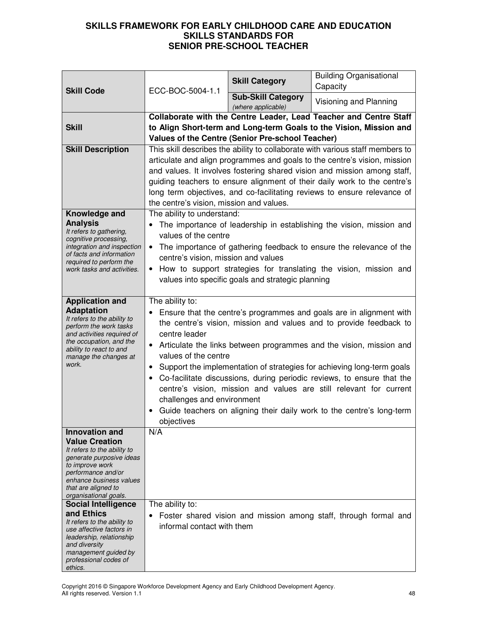| <b>Skill Code</b>                                                                                                                                                                                                                                                                                                                                                                                                                             | ECC-BOC-5004-1.1                                                                                                                                                                                                                                                                                                                                                                                                                                                                                                                                                                                                                         | <b>Skill Category</b>                                   | <b>Building Organisational</b><br>Capacity                                                                                              |
|-----------------------------------------------------------------------------------------------------------------------------------------------------------------------------------------------------------------------------------------------------------------------------------------------------------------------------------------------------------------------------------------------------------------------------------------------|------------------------------------------------------------------------------------------------------------------------------------------------------------------------------------------------------------------------------------------------------------------------------------------------------------------------------------------------------------------------------------------------------------------------------------------------------------------------------------------------------------------------------------------------------------------------------------------------------------------------------------------|---------------------------------------------------------|-----------------------------------------------------------------------------------------------------------------------------------------|
|                                                                                                                                                                                                                                                                                                                                                                                                                                               |                                                                                                                                                                                                                                                                                                                                                                                                                                                                                                                                                                                                                                          | <b>Sub-Skill Category</b><br>(where applicable)         | Visioning and Planning                                                                                                                  |
| <b>Skill</b>                                                                                                                                                                                                                                                                                                                                                                                                                                  |                                                                                                                                                                                                                                                                                                                                                                                                                                                                                                                                                                                                                                          | <b>Values of the Centre (Senior Pre-school Teacher)</b> | Collaborate with the Centre Leader, Lead Teacher and Centre Staff<br>to Align Short-term and Long-term Goals to the Vision, Mission and |
| <b>Skill Description</b>                                                                                                                                                                                                                                                                                                                                                                                                                      | This skill describes the ability to collaborate with various staff members to<br>articulate and align programmes and goals to the centre's vision, mission<br>and values. It involves fostering shared vision and mission among staff,<br>guiding teachers to ensure alignment of their daily work to the centre's<br>long term objectives, and co-facilitating reviews to ensure relevance of<br>the centre's vision, mission and values.                                                                                                                                                                                               |                                                         |                                                                                                                                         |
| Knowledge and<br><b>Analysis</b><br>It refers to gathering,<br>cognitive processing,<br>integration and inspection<br>of facts and information<br>required to perform the<br>work tasks and activities.                                                                                                                                                                                                                                       | The ability to understand:<br>The importance of leadership in establishing the vision, mission and<br>values of the centre<br>The importance of gathering feedback to ensure the relevance of the<br>$\bullet$<br>centre's vision, mission and values<br>How to support strategies for translating the vision, mission and<br>$\bullet$<br>values into specific goals and strategic planning                                                                                                                                                                                                                                             |                                                         |                                                                                                                                         |
| <b>Application and</b><br><b>Adaptation</b><br>It refers to the ability to<br>perform the work tasks<br>and activities required of<br>the occupation, and the<br>ability to react to and<br>manage the changes at<br>work.                                                                                                                                                                                                                    | The ability to:<br>Ensure that the centre's programmes and goals are in alignment with<br>the centre's vision, mission and values and to provide feedback to<br>centre leader<br>Articulate the links between programmes and the vision, mission and<br>values of the centre<br>Support the implementation of strategies for achieving long-term goals<br>$\bullet$<br>Co-facilitate discussions, during periodic reviews, to ensure that the<br>centre's vision, mission and values are still relevant for current<br>challenges and environment<br>Guide teachers on aligning their daily work to the centre's long-term<br>objectives |                                                         |                                                                                                                                         |
| <b>Innovation and</b><br><b>Value Creation</b><br>It refers to the ability to<br>generate purposive ideas<br>to improve work<br>performance and/or<br>enhance business values<br>that are aligned to<br>organisational goals.<br><b>Social Intelligence</b><br>and Ethics<br>It refers to the ability to<br>use affective factors in<br>leadership, relationship<br>and diversity<br>management guided by<br>professional codes of<br>ethics. | N/A<br>The ability to:<br>informal contact with them                                                                                                                                                                                                                                                                                                                                                                                                                                                                                                                                                                                     |                                                         | Foster shared vision and mission among staff, through formal and                                                                        |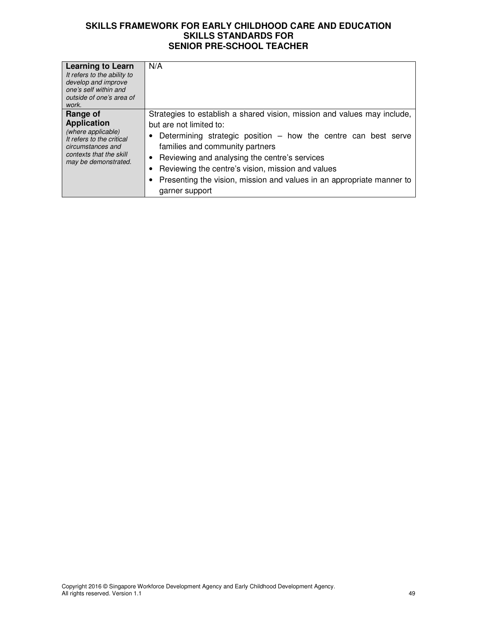| Learning to Learn<br>It refers to the ability to<br>develop and improve<br>one's self within and<br>outside of one's area of<br>work.                     | N/A                                                                                                                                                                                                                                                                                                                                                                                                         |
|-----------------------------------------------------------------------------------------------------------------------------------------------------------|-------------------------------------------------------------------------------------------------------------------------------------------------------------------------------------------------------------------------------------------------------------------------------------------------------------------------------------------------------------------------------------------------------------|
| Range of<br><b>Application</b><br>(where applicable)<br>It refers to the critical<br>circumstances and<br>contexts that the skill<br>may be demonstrated. | Strategies to establish a shared vision, mission and values may include,<br>but are not limited to:<br>Determining strategic position $-$ how the centre can best serve<br>families and community partners<br>Reviewing and analysing the centre's services<br>Reviewing the centre's vision, mission and values<br>Presenting the vision, mission and values in an appropriate manner to<br>garner support |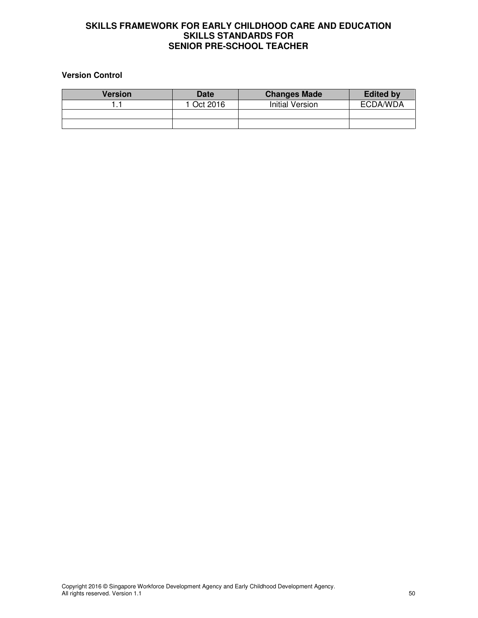#### **Version Control**

| <b>Version</b> | <b>Date</b> | <b>Changes Made</b>    | <b>Edited by</b> |
|----------------|-------------|------------------------|------------------|
|                | 1 Oct 2016  | <b>Initial Version</b> | ECDA/WDA         |
|                |             |                        |                  |
|                |             |                        |                  |